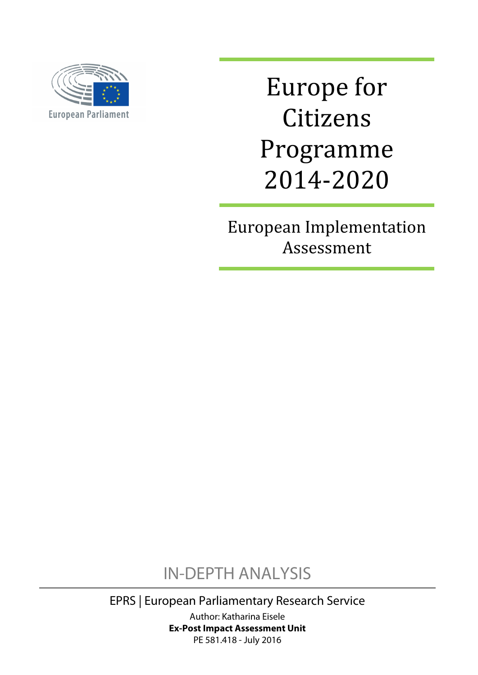

Europe for Citizens Programme 2014-2020

European Implementation Assessment

IN-DEPTH ANALYSIS

EPRS | European Parliamentary Research Service Author: Katharina Eisele **Ex-Post Impact Assessment Unit** PE 581.418 - July 2016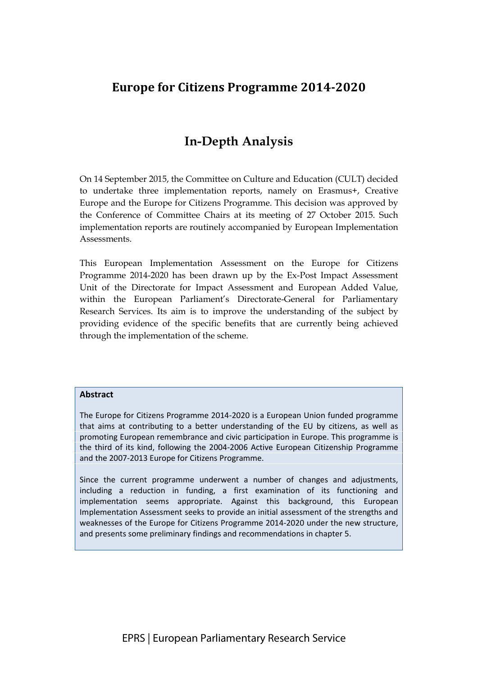## **Europe for Citizens Programme 2014-2020**

# **In-Depth Analysis**

On 14 September 2015, the Committee on Culture and Education (CULT) decided to undertake three implementation reports, namely on Erasmus+, Creative Europe and the Europe for Citizens Programme. This decision was approved by the Conference of Committee Chairs at its meeting of 27 October 2015. Such implementation reports are routinely accompanied by European Implementation Assessments.

This European Implementation Assessment on the Europe for Citizens Programme 2014-2020 has been drawn up by the Ex-Post Impact Assessment Unit of the Directorate for Impact Assessment and European Added Value, within the European Parliament's Directorate-General for Parliamentary Research Services. Its aim is to improve the understanding of the subject by providing evidence of the specific benefits that are currently being achieved through the implementation of the scheme.

#### **Abstract**

The Europe for Citizens Programme 2014-2020 is a European Union funded programme that aims at contributing to a better understanding of the EU by citizens, as well as promoting European remembrance and civic participation in Europe. This programme is the third of its kind, following the 2004-2006 Active European Citizenship Programme and the 2007-2013 Europe for Citizens Programme.

Since the current programme underwent a number of changes and adjustments, including a reduction in funding, a first examination of its functioning and implementation seems appropriate. Against this background, this European Implementation Assessment seeks to provide an initial assessment of the strengths and weaknesses of the Europe for Citizens Programme 2014-2020 under the new structure, and presents some preliminary findings and recommendations in chapter 5.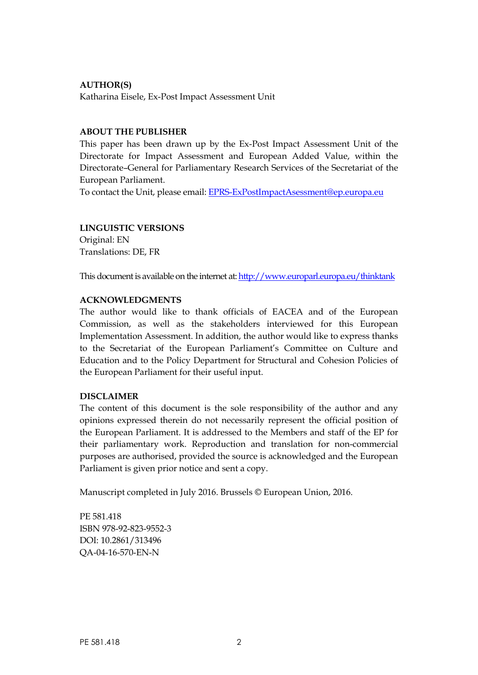### **AUTHOR(S)**

Katharina Eisele, Ex-Post Impact Assessment Unit

#### **ABOUT THE PUBLISHER**

This paper has been drawn up by the Ex-Post Impact Assessment Unit of the Directorate for Impact Assessment and European Added Value, within the Directorate–General for Parliamentary Research Services of the Secretariat of the European Parliament.

To contact the Unit, please email: [EPRS-ExPostImpactAsessment@ep.europa.eu](mailto:EPRS-ExPostImpactAsessment@ep.europa.eu)

### **LINGUISTIC VERSIONS**

Original: EN Translations: DE, FR

This document is available on the internet at: <http://www.europarl.europa.eu/thinktank>

#### **ACKNOWLEDGMENTS**

The author would like to thank officials of EACEA and of the European Commission, as well as the stakeholders interviewed for this European Implementation Assessment. In addition, the author would like to express thanks to the Secretariat of the European Parliament's Committee on Culture and Education and to the Policy Department for Structural and Cohesion Policies of the European Parliament for their useful input.

### **DISCLAIMER**

The content of this document is the sole responsibility of the author and any opinions expressed therein do not necessarily represent the official position of the European Parliament. It is addressed to the Members and staff of the EP for their parliamentary work. Reproduction and translation for non-commercial purposes are authorised, provided the source is acknowledged and the European Parliament is given prior notice and sent a copy.

Manuscript completed in July 2016. Brussels © European Union, 2016.

PE 581.418 ISBN 978-92-823-9552-3 DOI: 10.2861/313496 QA-04-16-570-EN-N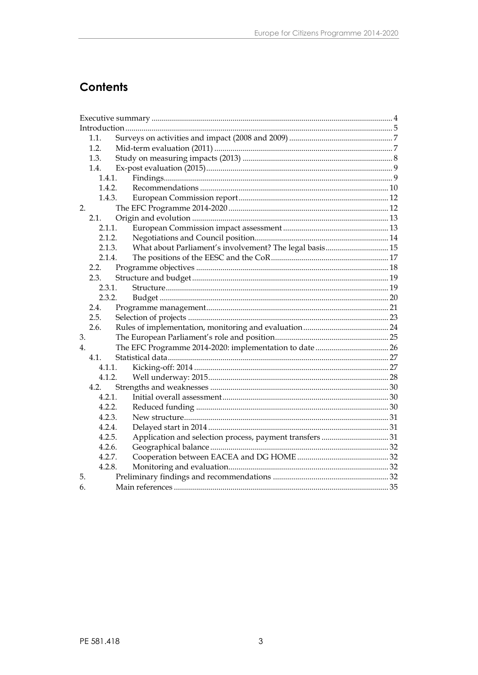# **Contents**

|             | 1.1.   |        |                                                         |  |
|-------------|--------|--------|---------------------------------------------------------|--|
|             | 1.2.   |        |                                                         |  |
|             | 1.3.   |        |                                                         |  |
|             | 1.4.   |        |                                                         |  |
| 1.4.1.      |        |        |                                                         |  |
|             | 1.4.2. |        |                                                         |  |
|             |        | 1.4.3. |                                                         |  |
| 2.          |        |        |                                                         |  |
|             | 2.1.   |        |                                                         |  |
|             | 2.1.1. |        |                                                         |  |
|             | 2.1.2. |        |                                                         |  |
|             | 2.1.3. |        | What about Parliament's involvement? The legal basis 15 |  |
|             | 2.1.4. |        |                                                         |  |
|             | 2.2.   |        |                                                         |  |
|             | 2.3.   |        |                                                         |  |
|             | 2.3.1. |        |                                                         |  |
|             | 2.3.2. |        |                                                         |  |
|             | 2.4.   |        |                                                         |  |
|             | 2.5.   |        |                                                         |  |
|             | 2.6.   |        |                                                         |  |
| 3.          |        |        |                                                         |  |
| $4_{\cdot}$ |        |        |                                                         |  |
|             | 4.1    |        |                                                         |  |
|             | 4.1.1. |        |                                                         |  |
|             | 4.1.2. |        |                                                         |  |
|             | 4.2.   |        |                                                         |  |
|             | 4.2.1. |        |                                                         |  |
|             | 4.2.2. |        |                                                         |  |
|             | 4.2.3. |        |                                                         |  |
|             | 4.2.4. |        |                                                         |  |
|             | 4.2.5. |        |                                                         |  |
|             | 4.2.6. |        |                                                         |  |
|             | 4.2.7. |        |                                                         |  |
|             | 4.2.8. |        |                                                         |  |
| 5.          |        |        |                                                         |  |
| 6.          |        |        |                                                         |  |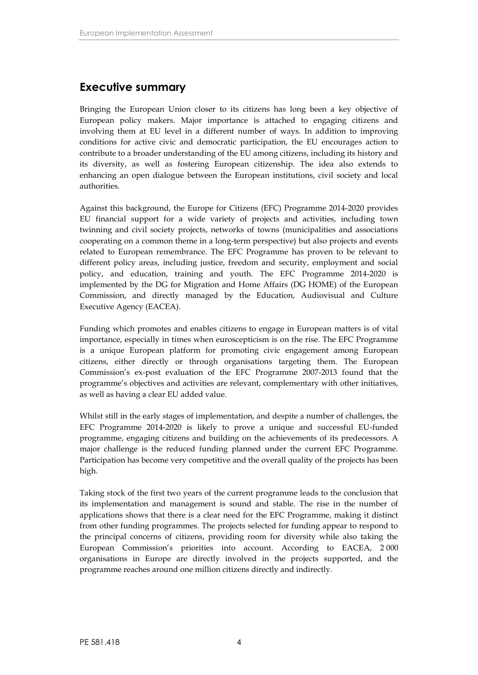## <span id="page-5-0"></span>**Executive summary**

Bringing the European Union closer to its citizens has long been a key objective of European policy makers. Major importance is attached to engaging citizens and involving them at EU level in a different number of ways. In addition to improving conditions for active civic and democratic participation, the EU encourages action to contribute to a broader understanding of the EU among citizens, including its history and its diversity, as well as fostering European citizenship. The idea also extends to enhancing an open dialogue between the European institutions, civil society and local authorities.

Against this background, the Europe for Citizens (EFC) Programme 2014-2020 provides EU financial support for a wide variety of projects and activities, including town twinning and civil society projects, networks of towns (municipalities and associations cooperating on a common theme in a long-term perspective) but also projects and events related to European remembrance. The EFC Programme has proven to be relevant to different policy areas, including justice, freedom and security, employment and social policy, and education, training and youth. The EFC Programme 2014-2020 is implemented by the DG for Migration and Home Affairs (DG HOME) of the European Commission, and directly managed by the Education, Audiovisual and Culture Executive Agency (EACEA).

Funding which promotes and enables citizens to engage in European matters is of vital importance, especially in times when euroscepticism is on the rise. The EFC Programme is a unique European platform for promoting civic engagement among European citizens, either directly or through organisations targeting them. The European Commission's ex-post evaluation of the EFC Programme 2007-2013 found that the programme's objectives and activities are relevant, complementary with other initiatives, as well as having a clear EU added value.

Whilst still in the early stages of implementation, and despite a number of challenges, the EFC Programme 2014-2020 is likely to prove a unique and successful EU-funded programme, engaging citizens and building on the achievements of its predecessors. A major challenge is the reduced funding planned under the current EFC Programme. Participation has become very competitive and the overall quality of the projects has been high.

Taking stock of the first two years of the current programme leads to the conclusion that its implementation and management is sound and stable. The rise in the number of applications shows that there is a clear need for the EFC Programme, making it distinct from other funding programmes. The projects selected for funding appear to respond to the principal concerns of citizens, providing room for diversity while also taking the European Commission's priorities into account. According to EACEA, 2 000 organisations in Europe are directly involved in the projects supported, and the programme reaches around one million citizens directly and indirectly.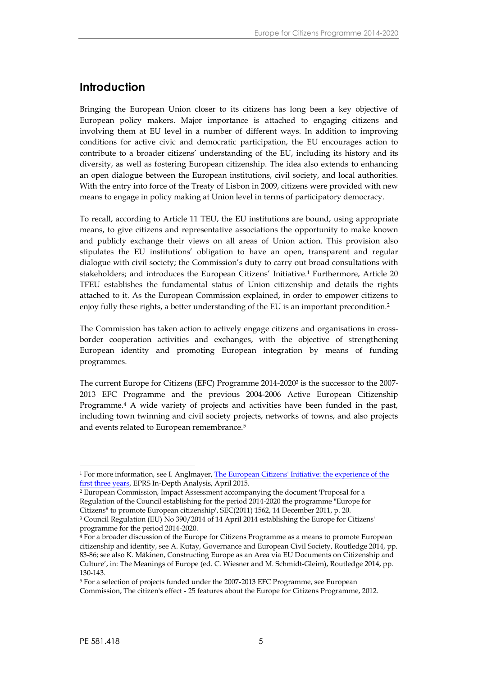### <span id="page-6-0"></span>**Introduction**

Bringing the European Union closer to its citizens has long been a key objective of European policy makers. Major importance is attached to engaging citizens and involving them at EU level in a number of different ways. In addition to improving conditions for active civic and democratic participation, the EU encourages action to contribute to a broader citizens' understanding of the EU, including its history and its diversity, as well as fostering European citizenship. The idea also extends to enhancing an open dialogue between the European institutions, civil society, and local authorities. With the entry into force of the Treaty of Lisbon in 2009, citizens were provided with new means to engage in policy making at Union level in terms of participatory democracy.

To recall, according to Article 11 TEU, the EU institutions are bound, using appropriate means, to give citizens and representative associations the opportunity to make known and publicly exchange their views on all areas of Union action. This provision also stipulates the EU institutions' obligation to have an open, transparent and regular dialogue with civil society; the Commission's duty to carry out broad consultations with stakeholders; and introduces the European Citizens' Initiative.<sup>1</sup> Furthermore, Article 20 TFEU establishes the fundamental status of Union citizenship and details the rights attached to it. As the European Commission explained, in order to empower citizens to enjoy fully these rights, a better understanding of the EU is an important precondition.<sup>2</sup>

The Commission has taken action to actively engage citizens and organisations in cross border cooperation activities and exchanges, with the objective of strengthening European identity and promoting European integration by means of funding programmes.

The current Europe for Citizens (EFC) Programme 2014-2020<sup>3</sup> is the successor to the 2007- 2013 EFC Programme and the previous 2004-2006 Active European Citizenship Programme.<sup>4</sup> A wide variety of projects and activities have been funded in the past, including town twinning and civil society projects, networks of towns, and also projects and events related to European remembrance.<sup>5</sup>

<sup>1</sup> For more information, see I. Anglmayer, [The European Citizens' Initiative: the](http://www.europarl.europa.eu/RegData/etudes/IDAN/2015/536343/EPRS_IDA(2015)536343_EN.pdf) experience of the [first three years](http://www.europarl.europa.eu/RegData/etudes/IDAN/2015/536343/EPRS_IDA(2015)536343_EN.pdf), EPRS In-Depth Analysis, April 2015.

<sup>2</sup> European Commission, Impact Assessment accompanying the document 'Proposal for a Regulation of the Council establishing for the period 2014-2020 the programme "Europe for Citizens" to promote European citizenship', SEC(2011) 1562, 14 December 2011, p. 20.

<sup>3</sup> Council Regulation (EU) No 390/2014 of 14 April 2014 establishing the Europe for Citizens' programme for the period 2014-2020.

<sup>4</sup> For a broader discussion of the Europe for Citizens Programme as a means to promote European citizenship and identity, see A. Kutay, Governance and European Civil Society, Routledge 2014, pp. 83-86; see also K. Mäkinen, Constructing Europe as an Area via EU Documents on Citizenship and Culture', in: The Meanings of Europe (ed. C. Wiesner and M. Schmidt-Gleim), Routledge 2014, pp. 130-143.

<sup>5</sup> For a selection of projects funded under the 2007-2013 EFC Programme, see European Commission, The citizen's effect - 25 features about the Europe for Citizens Programme, 2012.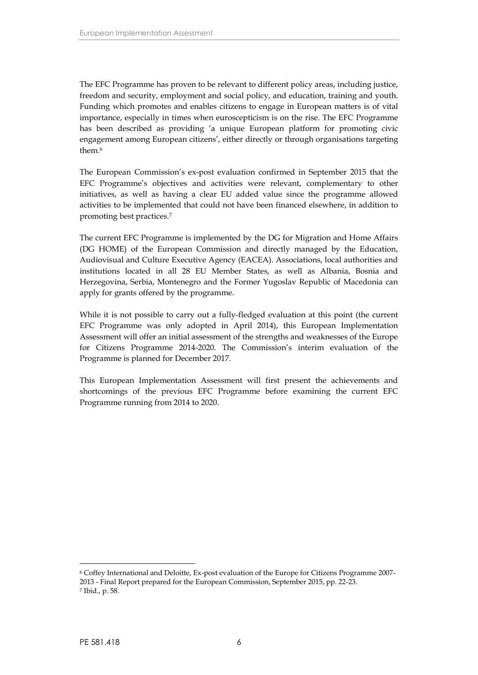The EFC Programme has proven to be relevant to different policy areas, including justice, freedom and security, employment and social policy, and education, training and youth. Funding which promotes and enables citizens to engage in European matters is of vital importance, especially in times when euroscepticism is on the rise. The EFC Programme has been described as providing 'a unique European platform for promoting civic engagement among European citizens', either directly or through organisations targeting them.<sup>6</sup>

The European Commission's ex-post evaluation confirmed in September 2015 that the EFC Programme's objectives and activities were relevant, complementary to other initiatives, as well as having a clear EU added value since the programme allowed activities to be implemented that could not have been financed elsewhere, in addition to promoting best practices.<sup>7</sup>

The current EFC Programme is implemented by the DG for Migration and Home Affairs (DG HOME) of the European Commission and directly managed by the Education, Audiovisual and Culture Executive Agency (EACEA). Associations, local authorities and institutions located in all 28 EU Member States, as well as Albania, Bosnia and Herzegovina, Serbia, Montenegro and the Former Yugoslav Republic of Macedonia can apply for grants offered by the programme.

While it is not possible to carry out a fully-fledged evaluation at this point (the current EFC Programme was only adopted in April 2014), this European Implementation Assessment will offer an initial assessment of the strengths and weaknesses of the Europe for Citizens Programme 2014-2020. The Commission's interim evaluation of the Programme is planned for December 2017.

This European Implementation Assessment will first present the achievements and shortcomings of the previous EFC Programme before examining the current EFC Programme running from 2014 to 2020.

<sup>6</sup> Coffey International and Deloitte, Ex-post evaluation of the Europe for Citizens Programme 2007- 2013 - Final Report prepared for the European Commission, September 2015, pp. 22-23. <sup>7</sup> Ibid., p. 58.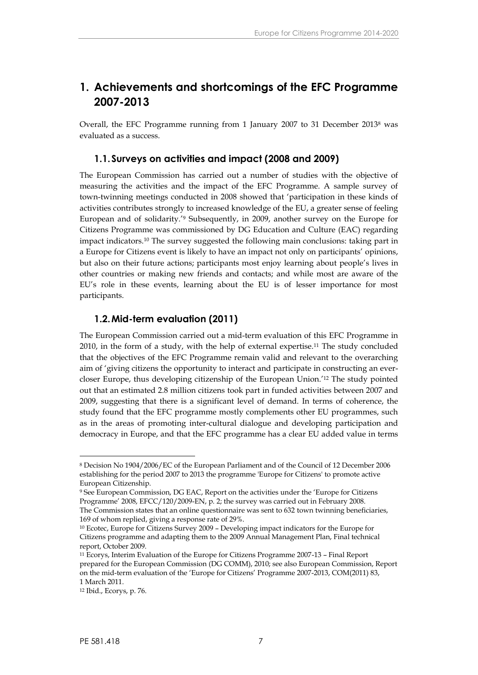## **1. Achievements and shortcomings of the EFC Programme 2007-2013**

Overall, the EFC Programme running from 1 January 2007 to 31 December 2013<sup>8</sup> was evaluated as a success.

### <span id="page-8-0"></span>**1.1.Surveys on activities and impact (2008 and 2009)**

The European Commission has carried out a number of studies with the objective of measuring the activities and the impact of the EFC Programme. A sample survey of town-twinning meetings conducted in 2008 showed that 'participation in these kinds of activities contributes strongly to increased knowledge of the EU, a greater sense of feeling European and of solidarity.'<sup>9</sup> Subsequently, in 2009, another survey on the Europe for Citizens Programme was commissioned by DG Education and Culture (EAC) regarding impact indicators.<sup>10</sup> The survey suggested the following main conclusions: taking part in a Europe for Citizens event is likely to have an impact not only on participants' opinions, but also on their future actions; participants most enjoy learning about people's lives in other countries or making new friends and contacts; and while most are aware of the EU's role in these events, learning about the EU is of lesser importance for most participants.

### <span id="page-8-1"></span>**1.2.Mid-term evaluation (2011)**

The European Commission carried out a mid-term evaluation of this EFC Programme in 2010, in the form of a study, with the help of external expertise.<sup>11</sup> The study concluded that the objectives of the EFC Programme remain valid and relevant to the overarching aim of 'giving citizens the opportunity to interact and participate in constructing an ever closer Europe, thus developing citizenship of the European Union.'<sup>12</sup> The study pointed out that an estimated 2.8 million citizens took part in funded activities between 2007 and 2009, suggesting that there is a significant level of demand. In terms of coherence, the study found that the EFC programme mostly complements other EU programmes, such as in the areas of promoting inter-cultural dialogue and developing participation and democracy in Europe, and that the EFC programme has a clear EU added value in terms

<sup>8</sup> Decision No 1904/2006/EC of the European Parliament and of the Council of 12 December 2006 establishing for the period 2007 to 2013 the programme 'Europe for Citizens' to promote active European Citizenship.

<sup>9</sup> See European Commission, DG EAC, Report on the activities under the 'Europe for Citizens Programme' 2008, EFCC/120/2009-EN, p. 2; the survey was carried out in February 2008. The Commission states that an online questionnaire was sent to 632 town twinning beneficiaries, 169 of whom replied, giving a response rate of 29%.

<sup>10</sup> Ecotec, Europe for Citizens Survey 2009 – Developing impact indicators for the Europe for Citizens programme and adapting them to the 2009 Annual Management Plan, Final technical report, October 2009.

<sup>11</sup> Ecorys, Interim Evaluation of the Europe for Citizens Programme 2007-13 – Final Report prepared for the European Commission (DG COMM), 2010; see also European Commission, Report on the mid-term evaluation of the 'Europe for Citizens' Programme 2007-2013, COM(2011) 83, 1 March 2011.

<sup>12</sup> Ibid., Ecorys, p. 76.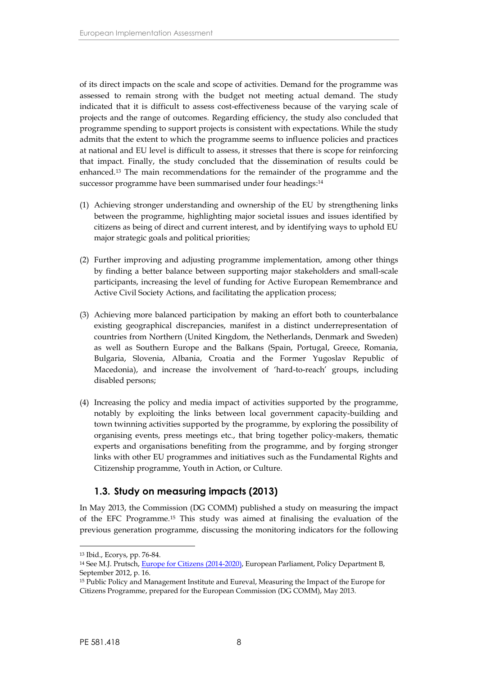of its direct impacts on the scale and scope of activities. Demand for the programme was assessed to remain strong with the budget not meeting actual demand. The study indicated that it is difficult to assess cost-effectiveness because of the varying scale of projects and the range of outcomes. Regarding efficiency, the study also concluded that programme spending to support projects is consistent with expectations. While the study admits that the extent to which the programme seems to influence policies and practices at national and EU level is difficult to assess, it stresses that there is scope for reinforcing that impact. Finally, the study concluded that the dissemination of results could be enhanced.<sup>13</sup> The main recommendations for the remainder of the programme and the successor programme have been summarised under four headings:<sup>14</sup>

- (1) Achieving stronger understanding and ownership of the EU by strengthening links between the programme, highlighting major societal issues and issues identified by citizens as being of direct and current interest, and by identifying ways to uphold EU major strategic goals and political priorities;
- (2) Further improving and adjusting programme implementation, among other things by finding a better balance between supporting major stakeholders and small-scale participants, increasing the level of funding for Active European Remembrance and Active Civil Society Actions, and facilitating the application process;
- (3) Achieving more balanced participation by making an effort both to counterbalance existing geographical discrepancies, manifest in a distinct underrepresentation of countries from Northern (United Kingdom, the Netherlands, Denmark and Sweden) as well as Southern Europe and the Balkans (Spain, Portugal, Greece, Romania, Bulgaria, Slovenia, Albania, Croatia and the Former Yugoslav Republic of Macedonia), and increase the involvement of 'hard-to-reach' groups, including disabled persons;
- (4) Increasing the policy and media impact of activities supported by the programme, notably by exploiting the links between local government capacity-building and town twinning activities supported by the programme, by exploring the possibility of organising events, press meetings etc., that bring together policy-makers, thematic experts and organisations benefiting from the programme, and by forging stronger links with other EU programmes and initiatives such as the Fundamental Rights and Citizenship programme, Youth in Action, or Culture.

### <span id="page-9-0"></span>**1.3. Study on measuring impacts (2013)**

In May 2013, the Commission (DG COMM) published a study on measuring the impact of the EFC Programme.<sup>15</sup> This study was aimed at finalising the evaluation of the previous generation programme, discussing the monitoring indicators for the following

<sup>13</sup> Ibid., Ecorys, pp. 76-84.

<sup>14</sup> See M.J. Prutsch, [Europe for Citizens \(2014-2020\)](http://www.europarl.europa.eu/RegData/etudes/note/join/2012/495822/IPOL-CULT_NT(2012)495822_EN.pdf), European Parliament, Policy Department B, September 2012, p. 16.

<sup>15</sup> Public Policy and Management Institute and Eureval, Measuring the Impact of the Europe for Citizens Programme, prepared for the European Commission (DG COMM), May 2013.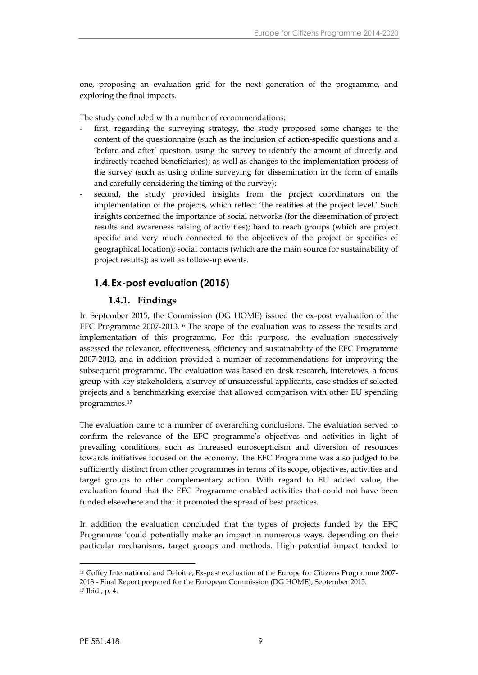one, proposing an evaluation grid for the next generation of the programme, and exploring the final impacts.

The study concluded with a number of recommendations:

- first, regarding the surveying strategy, the study proposed some changes to the content of the questionnaire (such as the inclusion of action-specific questions and a 'before and after' question, using the survey to identify the amount of directly and indirectly reached beneficiaries); as well as changes to the implementation process of the survey (such as using online surveying for dissemination in the form of emails and carefully considering the timing of the survey);
- second, the study provided insights from the project coordinators on the implementation of the projects, which reflect 'the realities at the project level.' Such insights concerned the importance of social networks (for the dissemination of project results and awareness raising of activities); hard to reach groups (which are project specific and very much connected to the objectives of the project or specifics of geographical location); social contacts (which are the main source for sustainability of project results); as well as follow-up events.

### <span id="page-10-0"></span>**1.4.Ex-post evaluation (2015)**

### <span id="page-10-1"></span>**1.4.1. Findings**

In September 2015, the Commission (DG HOME) issued the ex-post evaluation of the EFC Programme 2007-2013.<sup>16</sup> The scope of the evaluation was to assess the results and implementation of this programme. For this purpose, the evaluation successively assessed the relevance, effectiveness, efficiency and sustainability of the EFC Programme 2007-2013, and in addition provided a number of recommendations for improving the subsequent programme. The evaluation was based on desk research, interviews, a focus group with key stakeholders, a survey of unsuccessful applicants, case studies of selected projects and a benchmarking exercise that allowed comparison with other EU spending programmes.<sup>17</sup>

The evaluation came to a number of overarching conclusions. The evaluation served to confirm the relevance of the EFC programme's objectives and activities in light of prevailing conditions, such as increased euroscepticism and diversion of resources towards initiatives focused on the economy. The EFC Programme was also judged to be sufficiently distinct from other programmes in terms of its scope, objectives, activities and target groups to offer complementary action. With regard to EU added value, the evaluation found that the EFC Programme enabled activities that could not have been funded elsewhere and that it promoted the spread of best practices.

In addition the evaluation concluded that the types of projects funded by the EFC Programme 'could potentially make an impact in numerous ways, depending on their particular mechanisms, target groups and methods. High potential impact tended to

<sup>16</sup> Coffey International and Deloitte, Ex-post evaluation of the Europe for Citizens Programme 2007- 2013 - Final Report prepared for the European Commission (DG HOME), September 2015. <sup>17</sup> Ibid., p. 4.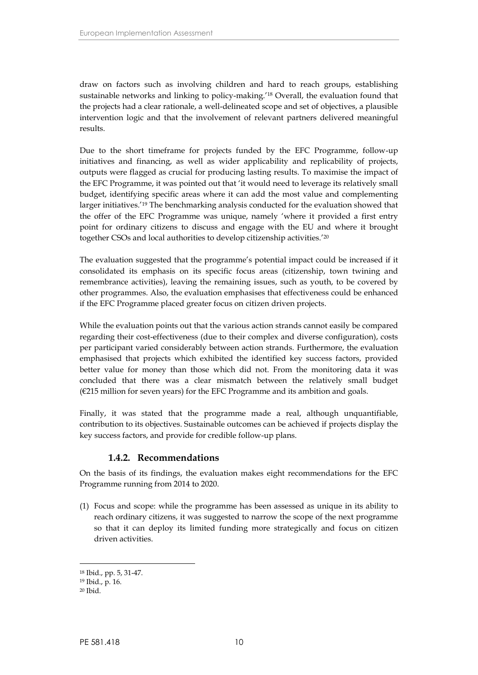draw on factors such as involving children and hard to reach groups, establishing sustainable networks and linking to policy-making.'<sup>18</sup> Overall, the evaluation found that the projects had a clear rationale, a well-delineated scope and set of objectives, a plausible intervention logic and that the involvement of relevant partners delivered meaningful results.

Due to the short timeframe for projects funded by the EFC Programme, follow-up initiatives and financing, as well as wider applicability and replicability of projects, outputs were flagged as crucial for producing lasting results. To maximise the impact of the EFC Programme, it was pointed out that 'it would need to leverage its relatively small budget, identifying specific areas where it can add the most value and complementing larger initiatives.'<sup>19</sup> The benchmarking analysis conducted for the evaluation showed that the offer of the EFC Programme was unique, namely 'where it provided a first entry point for ordinary citizens to discuss and engage with the EU and where it brought together CSOs and local authorities to develop citizenship activities.'<sup>20</sup>

The evaluation suggested that the programme's potential impact could be increased if it consolidated its emphasis on its specific focus areas (citizenship, town twining and remembrance activities), leaving the remaining issues, such as youth, to be covered by other programmes. Also, the evaluation emphasises that effectiveness could be enhanced if the EFC Programme placed greater focus on citizen driven projects.

While the evaluation points out that the various action strands cannot easily be compared regarding their cost-effectiveness (due to their complex and diverse configuration), costs per participant varied considerably between action strands. Furthermore, the evaluation emphasised that projects which exhibited the identified key success factors, provided better value for money than those which did not. From the monitoring data it was concluded that there was a clear mismatch between the relatively small budget  $(E215$  million for seven years) for the EFC Programme and its ambition and goals.

Finally, it was stated that the programme made a real, although unquantifiable, contribution to its objectives. Sustainable outcomes can be achieved if projects display the key success factors, and provide for credible follow-up plans.

### <span id="page-11-0"></span>**1.4.2. Recommendations**

On the basis of its findings, the evaluation makes eight recommendations for the EFC Programme running from 2014 to 2020.

(1) Focus and scope: while the programme has been assessed as unique in its ability to reach ordinary citizens, it was suggested to narrow the scope of the next programme so that it can deploy its limited funding more strategically and focus on citizen driven activities.

<sup>18</sup> Ibid., pp. 5, 31-47.

<sup>19</sup> Ibid., p. 16.

 $20$  Ibid.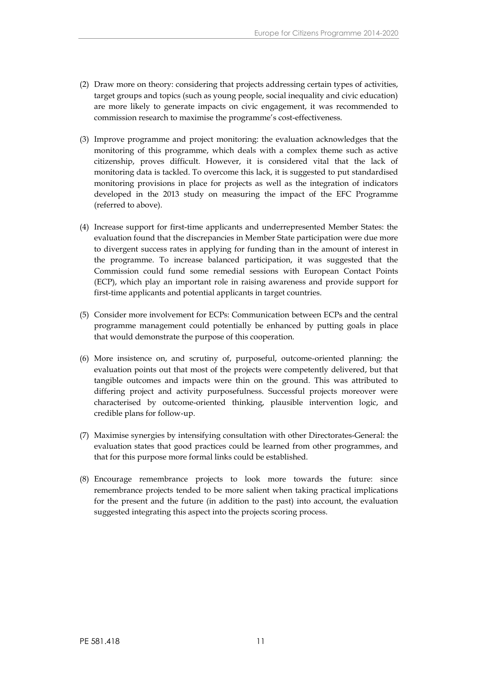- (2) Draw more on theory: considering that projects addressing certain types of activities, target groups and topics (such as young people, social inequality and civic education) are more likely to generate impacts on civic engagement, it was recommended to commission research to maximise the programme's cost-effectiveness.
- (3) Improve programme and project monitoring: the evaluation acknowledges that the monitoring of this programme, which deals with a complex theme such as active citizenship, proves difficult. However, it is considered vital that the lack of monitoring data is tackled. To overcome this lack, it is suggested to put standardised monitoring provisions in place for projects as well as the integration of indicators developed in the 2013 study on measuring the impact of the EFC Programme (referred to above).
- (4) Increase support for first-time applicants and underrepresented Member States: the evaluation found that the discrepancies in Member State participation were due more to divergent success rates in applying for funding than in the amount of interest in the programme. To increase balanced participation, it was suggested that the Commission could fund some remedial sessions with European Contact Points (ECP), which play an important role in raising awareness and provide support for first-time applicants and potential applicants in target countries.
- (5) Consider more involvement for ECPs: Communication between ECPs and the central programme management could potentially be enhanced by putting goals in place that would demonstrate the purpose of this cooperation.
- (6) More insistence on, and scrutiny of, purposeful, outcome-oriented planning: the evaluation points out that most of the projects were competently delivered, but that tangible outcomes and impacts were thin on the ground. This was attributed to differing project and activity purposefulness. Successful projects moreover were characterised by outcome-oriented thinking, plausible intervention logic, and credible plans for follow-up.
- (7) Maximise synergies by intensifying consultation with other Directorates-General: the evaluation states that good practices could be learned from other programmes, and that for this purpose more formal links could be established.
- (8) Encourage remembrance projects to look more towards the future: since remembrance projects tended to be more salient when taking practical implications for the present and the future (in addition to the past) into account, the evaluation suggested integrating this aspect into the projects scoring process.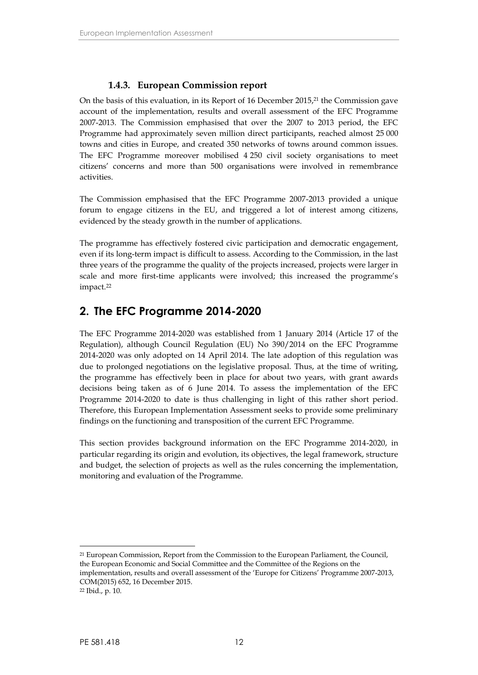### <span id="page-13-0"></span>**1.4.3. European Commission report**

On the basis of this evaluation, in its Report of 16 December 2015,<sup>21</sup> the Commission gave account of the implementation, results and overall assessment of the EFC Programme 2007-2013. The Commission emphasised that over the 2007 to 2013 period, the EFC Programme had approximately seven million direct participants, reached almost 25 000 towns and cities in Europe, and created 350 networks of towns around common issues. The EFC Programme moreover mobilised 4 250 civil society organisations to meet citizens' concerns and more than 500 organisations were involved in remembrance activities.

The Commission emphasised that the EFC Programme 2007-2013 provided a unique forum to engage citizens in the EU, and triggered a lot of interest among citizens, evidenced by the steady growth in the number of applications.

The programme has effectively fostered civic participation and democratic engagement, even if its long-term impact is difficult to assess. According to the Commission, in the last three years of the programme the quality of the projects increased, projects were larger in scale and more first-time applicants were involved; this increased the programme's impact.<sup>22</sup>

## <span id="page-13-1"></span>**2. The EFC Programme 2014-2020**

The EFC Programme 2014-2020 was established from 1 January 2014 (Article 17 of the Regulation), although Council Regulation (EU) No 390/2014 on the EFC Programme 2014-2020 was only adopted on 14 April 2014. The late adoption of this regulation was due to prolonged negotiations on the legislative proposal. Thus, at the time of writing, the programme has effectively been in place for about two years, with grant awards decisions being taken as of 6 June 2014. To assess the implementation of the EFC Programme 2014-2020 to date is thus challenging in light of this rather short period. Therefore, this European Implementation Assessment seeks to provide some preliminary findings on the functioning and transposition of the current EFC Programme.

This section provides background information on the EFC Programme 2014-2020, in particular regarding its origin and evolution, its objectives, the legal framework, structure and budget, the selection of projects as well as the rules concerning the implementation, monitoring and evaluation of the Programme.

<sup>21</sup> European Commission, Report from the Commission to the European Parliament, the Council, the European Economic and Social Committee and the Committee of the Regions on the implementation, results and overall assessment of the 'Europe for Citizens' Programme 2007-2013, COM(2015) 652, 16 December 2015.

<sup>22</sup> Ibid., p. 10.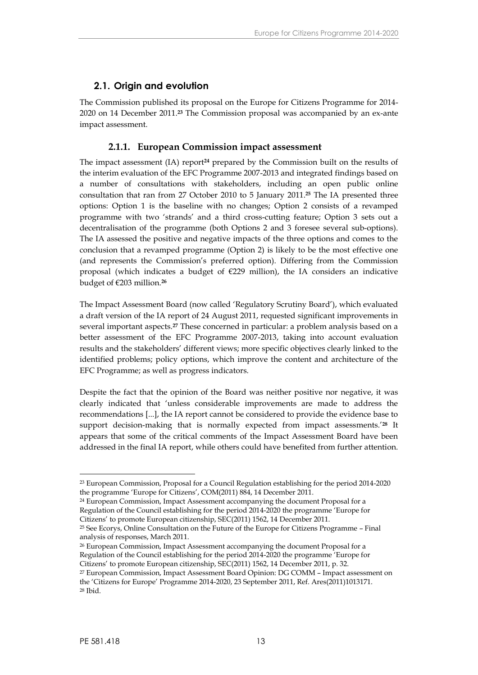### <span id="page-14-0"></span>**2.1. Origin and evolution**

The Commission published its proposal on the Europe for Citizens Programme for 2014- 2020 on 14 December 2011.**<sup>23</sup>** The Commission proposal was accompanied by an ex-ante impact assessment.

### <span id="page-14-1"></span>**2.1.1. European Commission impact assessment**

The impact assessment (IA) report**<sup>24</sup>** prepared by the Commission built on the results of the interim evaluation of the EFC Programme 2007-2013 and integrated findings based on a number of consultations with stakeholders, including an open public online consultation that ran from 27 October 2010 to 5 January 2011.**<sup>25</sup>** The IA presented three options: Option 1 is the baseline with no changes; Option 2 consists of a revamped programme with two 'strands' and a third cross-cutting feature; Option 3 sets out a decentralisation of the programme (both Options 2 and 3 foresee several sub-options). The IA assessed the positive and negative impacts of the three options and comes to the conclusion that a revamped programme (Option 2) is likely to be the most effective one (and represents the Commission's preferred option). Differing from the Commission proposal (which indicates a budget of  $E229$  million), the IA considers an indicative budget of €203 million.**<sup>26</sup>**

The Impact Assessment Board (now called 'Regulatory Scrutiny Board'), which evaluated a draft version of the IA report of 24 August 2011, requested significant improvements in several important aspects.**<sup>27</sup>** These concerned in particular: a problem analysis based on a better assessment of the EFC Programme 2007-2013, taking into account evaluation results and the stakeholders' different views; more specific objectives clearly linked to the identified problems; policy options, which improve the content and architecture of the EFC Programme; as well as progress indicators.

Despite the fact that the opinion of the Board was neither positive nor negative, it was clearly indicated that 'unless considerable improvements are made to address the recommendations [...], the IA report cannot be considered to provide the evidence base to support decision-making that is normally expected from impact assessments.'**<sup>28</sup>** It appears that some of the critical comments of the Impact Assessment Board have been addressed in the final IA report, while others could have benefited from further attention.

<sup>26</sup> European Commission, Impact Assessment accompanying the document Proposal for a Regulation of the Council establishing for the period 2014-2020 the programme 'Europe for Citizens' to promote European citizenship, SEC(2011) 1562, 14 December 2011, p. 32.

<sup>23</sup> European Commission, Proposal for a Council Regulation establishing for the period 2014-2020 the programme 'Europe for Citizens', COM(2011) 884, 14 December 2011.

<sup>24</sup> European Commission, Impact Assessment accompanying the document Proposal for a Regulation of the Council establishing for the period 2014-2020 the programme 'Europe for Citizens' to promote European citizenship, SEC(2011) 1562, 14 December 2011.

<sup>25</sup> See Ecorys, Online Consultation on the Future of the Europe for Citizens Programme – Final analysis of responses, March 2011.

<sup>27</sup> European Commission, Impact Assessment Board Opinion: DG COMM – Impact assessment on the 'Citizens for Europe' Programme 2014-2020, 23 September 2011, Ref. Ares(2011)1013171. <sup>28</sup> Ibid.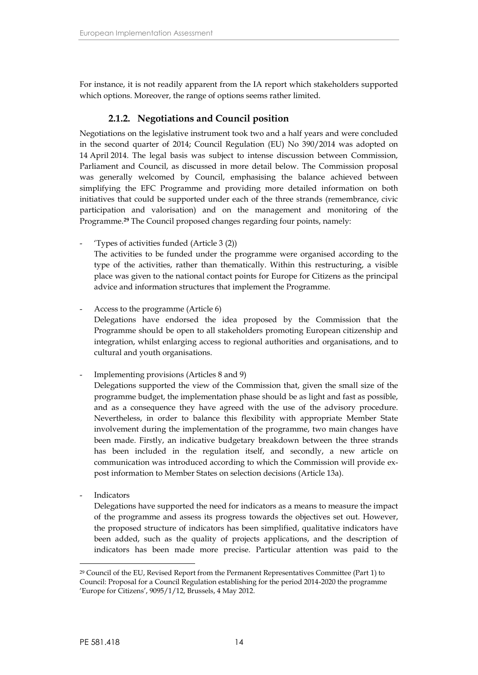For instance, it is not readily apparent from the IA report which stakeholders supported which options. Moreover, the range of options seems rather limited.

### <span id="page-15-0"></span>**2.1.2. Negotiations and Council position**

Negotiations on the legislative instrument took two and a half years and were concluded in the second quarter of 2014; Council Regulation (EU) No 390/2014 was adopted on 14 April 2014. The legal basis was subject to intense discussion between Commission, Parliament and Council, as discussed in more detail below. The Commission proposal was generally welcomed by Council, emphasising the balance achieved between simplifying the EFC Programme and providing more detailed information on both initiatives that could be supported under each of the three strands (remembrance, civic participation and valorisation) and on the management and monitoring of the Programme.**<sup>29</sup>** The Council proposed changes regarding four points, namely:

- 'Types of activities funded (Article 3 (2)) The activities to be funded under the programme were organised according to the type of the activities, rather than thematically. Within this restructuring, a visible place was given to the national contact points for Europe for Citizens as the principal advice and information structures that implement the Programme.
- Access to the programme (Article 6) Delegations have endorsed the idea proposed by the Commission that the Programme should be open to all stakeholders promoting European citizenship and integration, whilst enlarging access to regional authorities and organisations, and to cultural and youth organisations.
- Implementing provisions (Articles 8 and 9)

Delegations supported the view of the Commission that, given the small size of the programme budget, the implementation phase should be as light and fast as possible, and as a consequence they have agreed with the use of the advisory procedure. Nevertheless, in order to balance this flexibility with appropriate Member State involvement during the implementation of the programme, two main changes have been made. Firstly, an indicative budgetary breakdown between the three strands has been included in the regulation itself, and secondly, a new article on communication was introduced according to which the Commission will provide ex post information to Member States on selection decisions (Article 13a).

**Indicators** 

Delegations have supported the need for indicators as a means to measure the impact of the programme and assess its progress towards the objectives set out. However, the proposed structure of indicators has been simplified, qualitative indicators have been added, such as the quality of projects applications, and the description of indicators has been made more precise. Particular attention was paid to the

<sup>29</sup> Council of the EU, Revised Report from the Permanent Representatives Committee (Part 1) to Council: Proposal for a Council Regulation establishing for the period 2014-2020 the programme 'Europe for Citizens', 9095/1/12, Brussels, 4 May 2012.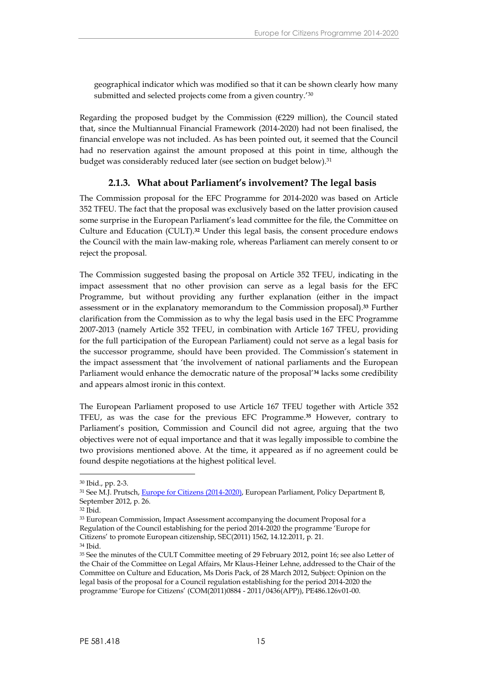geographical indicator which was modified so that it can be shown clearly how many submitted and selected projects come from a given country.<sup>'30</sup>

Regarding the proposed budget by the Commission ( $E229$  million), the Council stated that, since the Multiannual Financial Framework (2014-2020) had not been finalised, the financial envelope was not included. As has been pointed out, it seemed that the Council had no reservation against the amount proposed at this point in time, although the budget was considerably reduced later (see section on budget below).<sup>31</sup>

### <span id="page-16-0"></span>**2.1.3. What about Parliament's involvement? The legal basis**

The Commission proposal for the EFC Programme for 2014-2020 was based on Article 352 TFEU. The fact that the proposal was exclusively based on the latter provision caused some surprise in the European Parliament's lead committee for the file, the Committee on Culture and Education (CULT).**<sup>32</sup>** Under this legal basis, the consent procedure endows the Council with the main law-making role, whereas Parliament can merely consent to or reject the proposal.

The Commission suggested basing the proposal on Article 352 TFEU, indicating in the impact assessment that no other provision can serve as a legal basis for the EFC Programme, but without providing any further explanation (either in the impact assessment or in the explanatory memorandum to the Commission proposal).**<sup>33</sup>** Further clarification from the Commission as to why the legal basis used in the EFC Programme 2007-2013 (namely Article 352 TFEU, in combination with Article 167 TFEU, providing for the full participation of the European Parliament) could not serve as a legal basis for the successor programme, should have been provided. The Commission's statement in the impact assessment that 'the involvement of national parliaments and the European Parliament would enhance the democratic nature of the proposal'**<sup>34</sup>** lacks some credibility and appears almost ironic in this context.

The European Parliament proposed to use Article 167 TFEU together with Article 352 TFEU, as was the case for the previous EFC Programme.**<sup>35</sup>** However, contrary to Parliament's position, Commission and Council did not agree, arguing that the two objectives were not of equal importance and that it was legally impossible to combine the two provisions mentioned above. At the time, it appeared as if no agreement could be found despite negotiations at the highest political level.

<sup>30</sup> Ibid., pp. 2-3.

<sup>31</sup> See M.J. Prutsch, [Europe for Citizens \(2014-2020\)](http://www.europarl.europa.eu/RegData/etudes/note/join/2012/495822/IPOL-CULT_NT(2012)495822_EN.pdf), European Parliament, Policy Department B, September 2012, p. 26.

<sup>32</sup> Ibid.

<sup>33</sup> European Commission, Impact Assessment accompanying the document Proposal for a Regulation of the Council establishing for the period 2014-2020 the programme 'Europe for Citizens' to promote European citizenship, SEC(2011) 1562, 14.12.2011, p. 21. <sup>34</sup> Ibid.

<sup>35</sup> See the minutes of the CULT Committee meeting of 29 February 2012, point 16; see also Letter of the Chair of the Committee on Legal Affairs, Mr Klaus-Heiner Lehne, addressed to the Chair of the Committee on Culture and Education, Ms Doris Pack, of 28 March 2012, Subject: Opinion on the legal basis of the proposal for a Council regulation establishing for the period 2014-2020 the programme 'Europe for Citizens' (COM(2011)0884 - 2011/0436(APP)), PE486.126v01-00.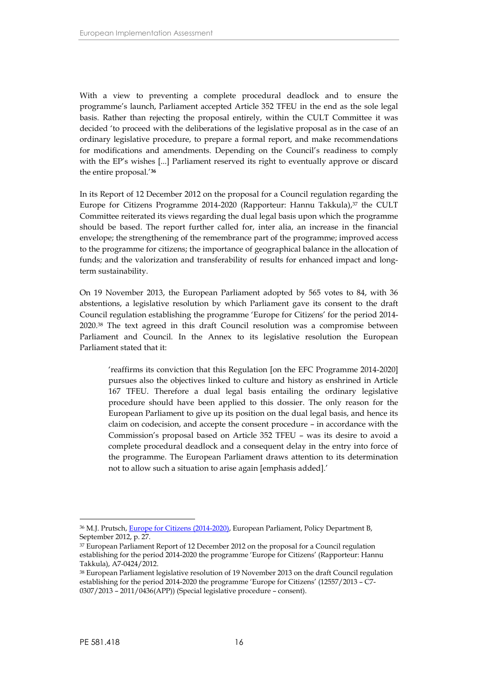With a view to preventing a complete procedural deadlock and to ensure the programme's launch, Parliament accepted Article 352 TFEU in the end as the sole legal basis. Rather than rejecting the proposal entirely, within the CULT Committee it was decided 'to proceed with the deliberations of the legislative proposal as in the case of an ordinary legislative procedure, to prepare a formal report, and make recommendations for modifications and amendments. Depending on the Council's readiness to comply with the EP's wishes [...] Parliament reserved its right to eventually approve or discard the entire proposal.'**<sup>36</sup>**

In its Report of 12 December 2012 on the proposal for a Council regulation regarding the Europe for Citizens Programme 2014-2020 (Rapporteur: Hannu Takkula),<sup>37</sup> the CULT Committee reiterated its views regarding the dual legal basis upon which the programme should be based. The report further called for, inter alia, an increase in the financial envelope; the strengthening of the remembrance part of the programme; improved access to the programme for citizens; the importance of geographical balance in the allocation of funds; and the valorization and transferability of results for enhanced impact and longterm sustainability.

On 19 November 2013, the European Parliament adopted by 565 votes to 84, with 36 abstentions, a legislative resolution by which Parliament gave its consent to the draft Council regulation establishing the programme 'Europe for Citizens' for the period 2014- 2020.<sup>38</sup> The text agreed in this draft Council resolution was a compromise between Parliament and Council. In the Annex to its legislative resolution the European Parliament stated that it:

'reaffirms its conviction that this Regulation [on the EFC Programme 2014-2020] pursues also the objectives linked to culture and history as enshrined in Article 167 TFEU. Therefore a dual legal basis entailing the ordinary legislative procedure should have been applied to this dossier. The only reason for the European Parliament to give up its position on the dual legal basis, and hence its claim on codecision, and accepte the consent procedure – in accordance with the Commission's proposal based on Article 352 TFEU – was its desire to avoid a complete procedural deadlock and a consequent delay in the entry into force of the programme. The European Parliament draws attention to its determination not to allow such a situation to arise again [emphasis added].'

<sup>36</sup> M.J. Prutsch, [Europe for Citizens \(2014-2020\)](http://www.europarl.europa.eu/RegData/etudes/note/join/2012/495822/IPOL-CULT_NT(2012)495822_EN.pdf), European Parliament, Policy Department B, September 2012, p. 27.

<sup>37</sup> European Parliament Report of 12 December 2012 on the proposal for a Council regulation establishing for the period 2014-2020 the programme 'Europe for Citizens' (Rapporteur: Hannu Takkula), A7-0424/2012.

<sup>38</sup> European Parliament legislative resolution of 19 November 2013 on the draft Council regulation establishing for the period 2014-2020 the programme 'Europe for Citizens' (12557/2013 – C7- 0307/2013 – 2011/0436(APP)) (Special legislative procedure – consent).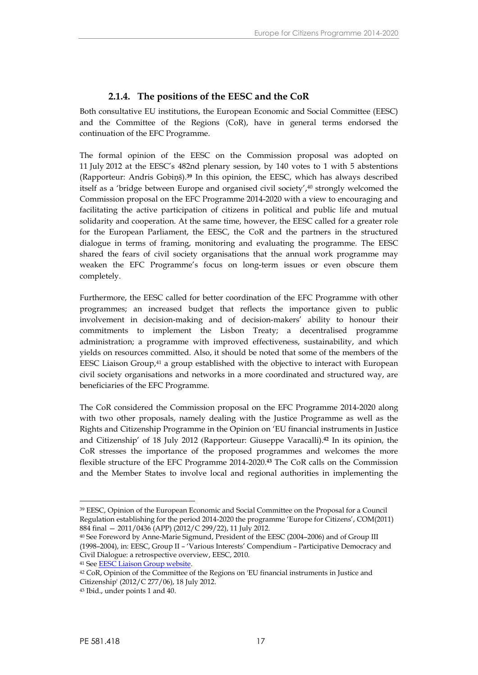### <span id="page-18-0"></span>**2.1.4. The positions of the EESC and the CoR**

Both consultative EU institutions, the European Economic and Social Committee (EESC) and the Committee of the Regions (CoR), have in general terms endorsed the continuation of the EFC Programme.

The formal opinion of the EESC on the Commission proposal was adopted on 11 July 2012 at the EESC's 482nd plenary session, by 140 votes to 1 with 5 abstentions (Rapporteur: Andris Gobiņš).**<sup>39</sup>** In this opinion, the EESC, which has always described itself as a 'bridge between Europe and organised civil society',<sup>40</sup> strongly welcomed the Commission proposal on the EFC Programme 2014-2020 with a view to encouraging and facilitating the active participation of citizens in political and public life and mutual solidarity and cooperation. At the same time, however, the EESC called for a greater role for the European Parliament, the EESC, the CoR and the partners in the structured dialogue in terms of framing, monitoring and evaluating the programme. The EESC shared the fears of civil society organisations that the annual work programme may weaken the EFC Programme's focus on long-term issues or even obscure them completely.

Furthermore, the EESC called for better coordination of the EFC Programme with other programmes; an increased budget that reflects the importance given to public involvement in decision-making and of decision-makers' ability to honour their commitments to implement the Lisbon Treaty; a decentralised programme administration; a programme with improved effectiveness, sustainability, and which yields on resources committed. Also, it should be noted that some of the members of the EESC Liaison Group,<sup>41</sup> a group established with the objective to interact with European civil society organisations and networks in a more coordinated and structured way, are beneficiaries of the EFC Programme.

The CoR considered the Commission proposal on the EFC Programme 2014-2020 along with two other proposals, namely dealing with the Justice Programme as well as the Rights and Citizenship Programme in the Opinion on 'EU financial instruments in Justice and Citizenship' of 18 July 2012 (Rapporteur: Giuseppe Varacalli).**<sup>42</sup>** In its opinion, the CoR stresses the importance of the proposed programmes and welcomes the more flexible structure of the EFC Programme 2014-2020.**<sup>43</sup>** The CoR calls on the Commission and the Member States to involve local and regional authorities in implementing the

<sup>41</sup> See [EESC Liaison Group website.](http://www.eesc.europa.eu/?i=portal.en.liaison-group)

<sup>39</sup> EESC, Opinion of the European Economic and Social Committee on the Proposal for a Council Regulation establishing for the period 2014-2020 the programme 'Europe for Citizens', COM(2011) 884 final — 2011/0436 (APP) (2012/C 299/22), 11 July 2012.

<sup>40</sup> See Foreword by Anne-Marie Sigmund, President of the EESC (2004–2006) and of Group III (1998–2004), in: EESC, Group II – 'Various Interests' Compendium – Participative Democracy and Civil Dialogue: a retrospective overview, EESC, 2010.

<sup>42</sup> CoR, Opinion of the Committee of the Regions on 'EU financial instruments in Justice and Citizenship' (2012/C 277/06), 18 July 2012.

<sup>43</sup> Ibid., under points 1 and 40.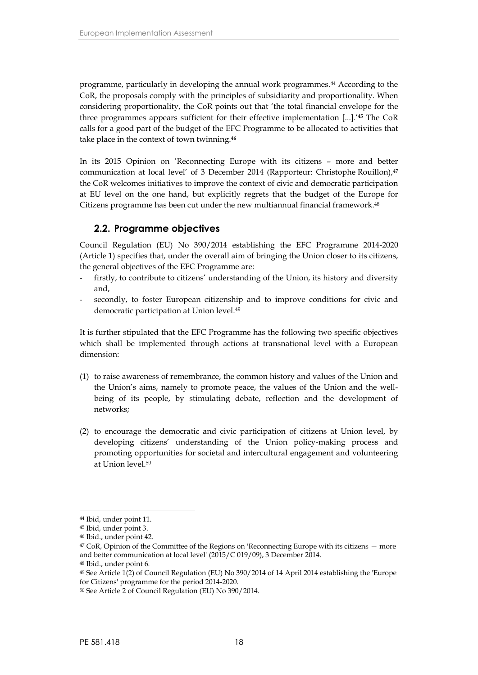programme, particularly in developing the annual work programmes.**<sup>44</sup>** According to the CoR, the proposals comply with the principles of subsidiarity and proportionality. When considering proportionality, the CoR points out that 'the total financial envelope for the three programmes appears sufficient for their effective implementation [...].'**<sup>45</sup>** The CoR calls for a good part of the budget of the EFC Programme to be allocated to activities that take place in the context of town twinning.**<sup>46</sup>**

In its 2015 Opinion on 'Reconnecting Europe with its citizens – more and better communication at local level' of 3 December 2014 (Rapporteur: Christophe Rouillon),<sup>47</sup> the CoR welcomes initiatives to improve the context of civic and democratic participation at EU level on the one hand, but explicitly regrets that the budget of the Europe for Citizens programme has been cut under the new multiannual financial framework.<sup>48</sup>

### <span id="page-19-0"></span>**2.2. Programme objectives**

Council Regulation (EU) No 390/2014 establishing the EFC Programme 2014-2020 (Article 1) specifies that, under the overall aim of bringing the Union closer to its citizens, the general objectives of the EFC Programme are:

- firstly, to contribute to citizens' understanding of the Union, its history and diversity and,
- secondly, to foster European citizenship and to improve conditions for civic and democratic participation at Union level.<sup>49</sup>

It is further stipulated that the EFC Programme has the following two specific objectives which shall be implemented through actions at transnational level with a European dimension:

- (1) to raise awareness of remembrance, the common history and values of the Union and the Union's aims, namely to promote peace, the values of the Union and the well being of its people, by stimulating debate, reflection and the development of networks;
- (2) to encourage the democratic and civic participation of citizens at Union level, by developing citizens' understanding of the Union policy-making process and promoting opportunities for societal and intercultural engagement and volunteering at Union level.<sup>50</sup>

<sup>44</sup> Ibid, under point 11.

<sup>45</sup> Ibid, under point 3.

<sup>46</sup> Ibid., under point 42.

<sup>47</sup> CoR, Opinion of the Committee of the Regions on 'Reconnecting Europe with its citizens — more and better communication at local level' (2015/C 019/09), 3 December 2014.

<sup>48</sup> Ibid., under point 6.

<sup>49</sup> See Article 1(2) of Council Regulation (EU) No 390/2014 of 14 April 2014 establishing the 'Europe for Citizens' programme for the period 2014-2020.

<sup>50</sup> See Article 2 of Council Regulation (EU) No 390/2014.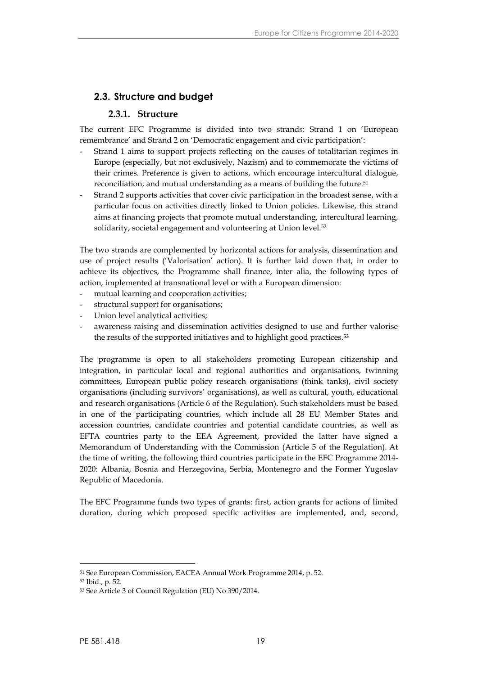### **2.3. Structure and budget**

### <span id="page-20-1"></span><span id="page-20-0"></span>**2.3.1. Structure**

The current EFC Programme is divided into two strands: Strand 1 on 'European remembrance' and Strand 2 on 'Democratic engagement and civic participation':

- Strand 1 aims to support projects reflecting on the causes of totalitarian regimes in Europe (especially, but not exclusively, Nazism) and to commemorate the victims of their crimes. Preference is given to actions, which encourage intercultural dialogue, reconciliation, and mutual understanding as a means of building the future.<sup>51</sup>
- Strand 2 supports activities that cover civic participation in the broadest sense, with a particular focus on activities directly linked to Union policies. Likewise, this strand aims at financing projects that promote mutual understanding, intercultural learning, solidarity, societal engagement and volunteering at Union level.<sup>52</sup>

The two strands are complemented by horizontal actions for analysis, dissemination and use of project results ('Valorisation' action). It is further laid down that, in order to achieve its objectives, the Programme shall finance, inter alia, the following types of action, implemented at transnational level or with a European dimension:

- mutual learning and cooperation activities;
- structural support for organisations;
- Union level analytical activities;
- awareness raising and dissemination activities designed to use and further valorise the results of the supported initiatives and to highlight good practices.**<sup>53</sup>**

The programme is open to all stakeholders promoting European citizenship and integration, in particular local and regional authorities and organisations, twinning committees, European public policy research organisations (think tanks), civil society organisations (including survivors' organisations), as well as cultural, youth, educational and research organisations (Article 6 of the Regulation). Such stakeholders must be based in one of the participating countries, which include all 28 EU Member States and accession countries, candidate countries and potential candidate countries, as well as EFTA countries party to the EEA Agreement, provided the latter have signed a Memorandum of Understanding with the Commission (Article 5 of the Regulation). At the time of writing, the following third countries participate in the EFC Programme 2014- 2020: Albania, Bosnia and Herzegovina, Serbia, Montenegro and the Former Yugoslav Republic of Macedonia.

The EFC Programme funds two types of grants: first, action grants for actions of limited duration, during which proposed specific activities are implemented, and, second,

<sup>51</sup> See European Commission, EACEA Annual Work Programme 2014, p. 52.

<sup>52</sup> Ibid., p. 52.

<sup>53</sup> See Article 3 of Council Regulation (EU) No 390/2014.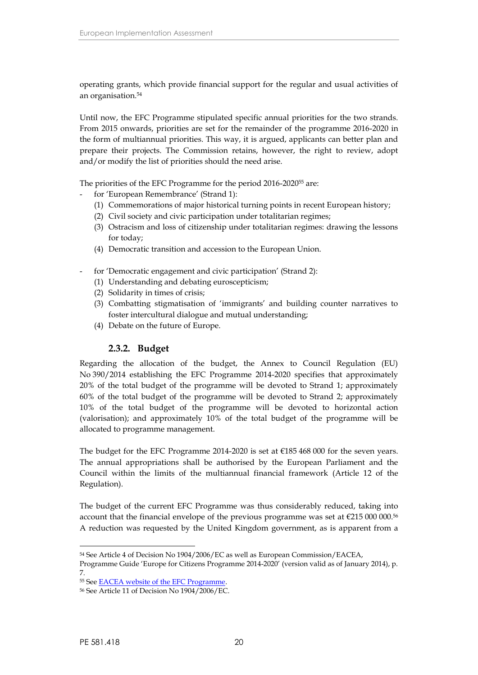operating grants, which provide financial support for the regular and usual activities of an organisation.<sup>54</sup>

Until now, the EFC Programme stipulated specific annual priorities for the two strands. From 2015 onwards, priorities are set for the remainder of the programme 2016-2020 in the form of multiannual priorities. This way, it is argued, applicants can better plan and prepare their projects. The Commission retains, however, the right to review, adopt and/or modify the list of priorities should the need arise.

The priorities of the EFC Programme for the period 2016-2020<sup>55</sup> are:

- for 'European Remembrance' (Strand 1):
	- (1) Commemorations of major historical turning points in recent European history;
	- (2) Civil society and civic participation under totalitarian regimes;
	- (3) Ostracism and loss of citizenship under totalitarian regimes: drawing the lessons for today;
	- (4) Democratic transition and accession to the European Union.
- for 'Democratic engagement and civic participation' (Strand 2):
	- (1) Understanding and debating euroscepticism;
	- (2) Solidarity in times of crisis;
	- (3) Combatting stigmatisation of 'immigrants' and building counter narratives to foster intercultural dialogue and mutual understanding;
	- (4) Debate on the future of Europe.

### <span id="page-21-0"></span>**2.3.2. Budget**

Regarding the allocation of the budget, the Annex to Council Regulation (EU) No 390/2014 establishing the EFC Programme 2014-2020 specifies that approximately 20% of the total budget of the programme will be devoted to Strand 1; approximately 60% of the total budget of the programme will be devoted to Strand 2; approximately 10% of the total budget of the programme will be devoted to horizontal action (valorisation); and approximately 10% of the total budget of the programme will be allocated to programme management.

The budget for the EFC Programme 2014-2020 is set at €185 468 000 for the seven years. The annual appropriations shall be authorised by the European Parliament and the Council within the limits of the multiannual financial framework (Article 12 of the Regulation).

The budget of the current EFC Programme was thus considerably reduced, taking into account that the financial envelope of the previous programme was set at  $\epsilon$ 215 000 000.<sup>56</sup> A reduction was requested by the United Kingdom government, as is apparent from a

<sup>54</sup> See Article 4 of Decision No 1904/2006/EC as well as European Commission/EACEA,

Programme Guide 'Europe for Citizens Programme 2014-2020' (version valid as of January 2014), p. 7.

<sup>55</sup> See [EACEA website of the EFC Programme](http://eacea.ec.europa.eu/europe-for-citizens_en).

<sup>56</sup> See Article 11 of Decision No 1904/2006/EC.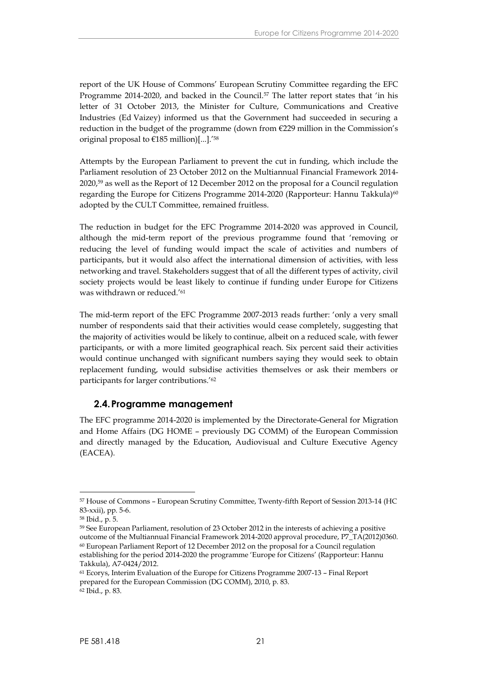report of the UK House of Commons' European Scrutiny Committee regarding the EFC Programme 2014-2020, and backed in the Council.<sup>57</sup> The latter report states that 'in his letter of 31 October 2013, the Minister for Culture, Communications and Creative Industries (Ed Vaizey) informed us that the Government had succeeded in securing a reduction in the budget of the programme (down from €229 million in the Commission's original proposal to €185 million)[...].'<sup>58</sup>

Attempts by the European Parliament to prevent the cut in funding, which include the Parliament resolution of 23 October 2012 on the Multiannual Financial Framework 2014- 2020,<sup>59</sup> as well as the Report of 12 December 2012 on the proposal for a Council regulation regarding the Europe for Citizens Programme 2014-2020 (Rapporteur: Hannu Takkula)<sup>60</sup> adopted by the CULT Committee, remained fruitless.

The reduction in budget for the EFC Programme 2014-2020 was approved in Council, although the mid-term report of the previous programme found that 'removing or reducing the level of funding would impact the scale of activities and numbers of participants, but it would also affect the international dimension of activities, with less networking and travel. Stakeholders suggest that of all the different types of activity, civil society projects would be least likely to continue if funding under Europe for Citizens was withdrawn or reduced.'<sup>61</sup>

The mid-term report of the EFC Programme 2007-2013 reads further: 'only a very small number of respondents said that their activities would cease completely, suggesting that the majority of activities would be likely to continue, albeit on a reduced scale, with fewer participants, or with a more limited geographical reach. Six percent said their activities would continue unchanged with significant numbers saying they would seek to obtain replacement funding, would subsidise activities themselves or ask their members or participants for larger contributions.'<sup>62</sup>

### <span id="page-22-0"></span>**2.4.Programme management**

The EFC programme 2014-2020 is implemented by the Directorate-General for Migration and Home Affairs (DG HOME – previously DG COMM) of the European Commission and directly managed by the Education, Audiovisual and Culture Executive Agency (EACEA).

<sup>57</sup> House of Commons – European Scrutiny Committee, Twenty-fifth Report of Session 2013-14 (HC 83-xxii), pp. 5-6.

<sup>58</sup> Ibid., p. 5.

<sup>59</sup> See European Parliament, resolution of 23 October 2012 in the interests of achieving a positive outcome of the Multiannual Financial Framework 2014-2020 approval procedure, P7\_TA(2012)0360. <sup>60</sup> European Parliament Report of 12 December 2012 on the proposal for a Council regulation establishing for the period 2014-2020 the programme 'Europe for Citizens' (Rapporteur: Hannu Takkula), A7-0424/2012.

<sup>61</sup> Ecorys, Interim Evaluation of the Europe for Citizens Programme 2007-13 – Final Report prepared for the European Commission (DG COMM), 2010, p. 83. <sup>62</sup> Ibid., p. 83.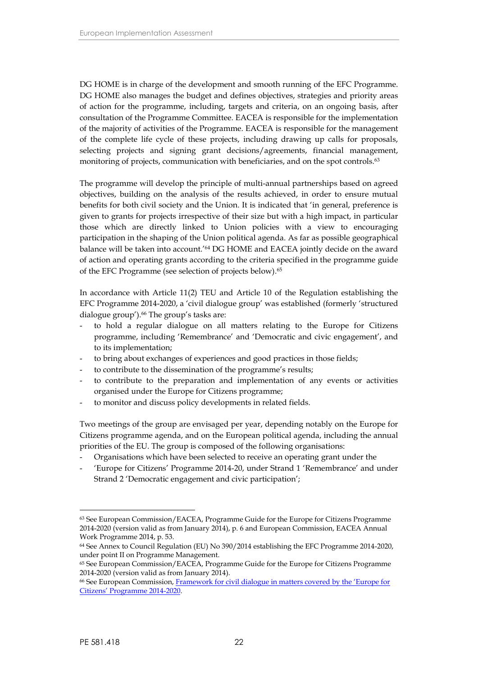DG HOME is in charge of the development and smooth running of the EFC Programme. DG HOME also manages the budget and defines objectives, strategies and priority areas of action for the programme, including, targets and criteria, on an ongoing basis, after consultation of the Programme Committee. EACEA is responsible for the implementation of the majority of activities of the Programme. EACEA is responsible for the management of the complete life cycle of these projects, including drawing up calls for proposals, selecting projects and signing grant decisions/agreements, financial management, monitoring of projects, communication with beneficiaries, and on the spot controls.<sup>63</sup>

The programme will develop the principle of multi-annual partnerships based on agreed objectives, building on the analysis of the results achieved, in order to ensure mutual benefits for both civil society and the Union. It is indicated that 'in general, preference is given to grants for projects irrespective of their size but with a high impact, in particular those which are directly linked to Union policies with a view to encouraging participation in the shaping of the Union political agenda. As far as possible geographical balance will be taken into account.'<sup>64</sup> DG HOME and EACEA jointly decide on the award of action and operating grants according to the criteria specified in the programme guide of the EFC Programme (see selection of projects below).<sup>65</sup>

In accordance with Article 11(2) TEU and Article 10 of the Regulation establishing the EFC Programme 2014-2020, a 'civil dialogue group' was established (formerly 'structured dialogue group').<sup>66</sup> The group's tasks are:

- to hold a regular dialogue on all matters relating to the Europe for Citizens programme, including 'Remembrance' and 'Democratic and civic engagement', and to its implementation;
- to bring about exchanges of experiences and good practices in those fields;
- to contribute to the dissemination of the programme's results;
- to contribute to the preparation and implementation of any events or activities organised under the Europe for Citizens programme;
- to monitor and discuss policy developments in related fields.

Two meetings of the group are envisaged per year, depending notably on the Europe for Citizens programme agenda, and on the European political agenda, including the annual priorities of the EU. The group is composed of the following organisations:

- Organisations which have been selected to receive an operating grant under the
- 'Europe for Citizens' Programme 2014-20, under Strand 1 'Remembrance' and under Strand 2 'Democratic engagement and civic participation';

<sup>63</sup> See European Commission/EACEA, Programme Guide for the Europe for Citizens Programme 2014-2020 (version valid as from January 2014), p. 6 and European Commission, EACEA Annual Work Programme 2014, p. 53.

<sup>64</sup> See Annex to Council Regulation (EU) No 390/2014 establishing the EFC Programme 2014-2020, under point II on Programme Management.

<sup>65</sup> See European Commission/EACEA, Programme Guide for the Europe for Citizens Programme 2014-2020 (version valid as from January 2014).

<sup>66</sup> See European Commission, [Framework for civil dialogue in matters covered by the 'Europe for](http://ec.europa.eu/citizenship/pdf/framework_for_civil_dialogue_efc_2014_2020final.pdf) [Citizens' Programme 2014-2020.](http://ec.europa.eu/citizenship/pdf/framework_for_civil_dialogue_efc_2014_2020final.pdf)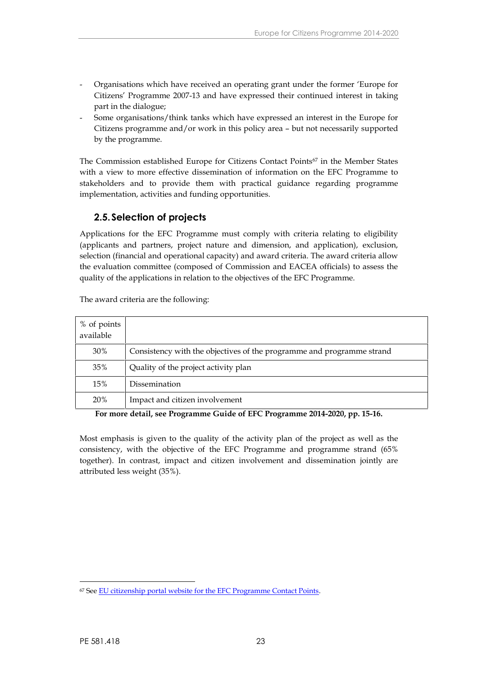- Organisations which have received an operating grant under the former 'Europe for Citizens' Programme 2007-13 and have expressed their continued interest in taking part in the dialogue;
- Some organisations/think tanks which have expressed an interest in the Europe for Citizens programme and/or work in this policy area – but not necessarily supported by the programme.

The Commission established Europe for Citizens Contact Points<sup>67</sup> in the Member States with a view to more effective dissemination of information on the EFC Programme to stakeholders and to provide them with practical guidance regarding programme implementation, activities and funding opportunities.

### <span id="page-24-0"></span>**2.5.Selection of projects**

Applications for the EFC Programme must comply with criteria relating to eligibility (applicants and partners, project nature and dimension, and application), exclusion, selection (financial and operational capacity) and award criteria. The award criteria allow the evaluation committee (composed of Commission and EACEA officials) to assess the quality of the applications in relation to the objectives of the EFC Programme.

| % of points<br>available |                                                                       |
|--------------------------|-----------------------------------------------------------------------|
| 30%                      | Consistency with the objectives of the programme and programme strand |
| 35%                      | Quality of the project activity plan                                  |
| 15%                      | Dissemination                                                         |
| <b>20%</b>               | Impact and citizen involvement                                        |

The award criteria are the following:

**For more detail, see Programme Guide of EFC Programme 2014-2020, pp. 15-16.**

Most emphasis is given to the quality of the activity plan of the project as well as the consistency, with the objective of the EFC Programme and programme strand (65% together). In contrast, impact and citizen involvement and dissemination jointly are attributed less weight (35%).

<sup>67</sup> See [EU citizenship portal website for the EFC Programme Contact Points](http://ec.europa.eu/citizenship/about-the-europe-for-citizens-programme/the-europe-for-citizens-programme-in-the-member-states/index_en.htm).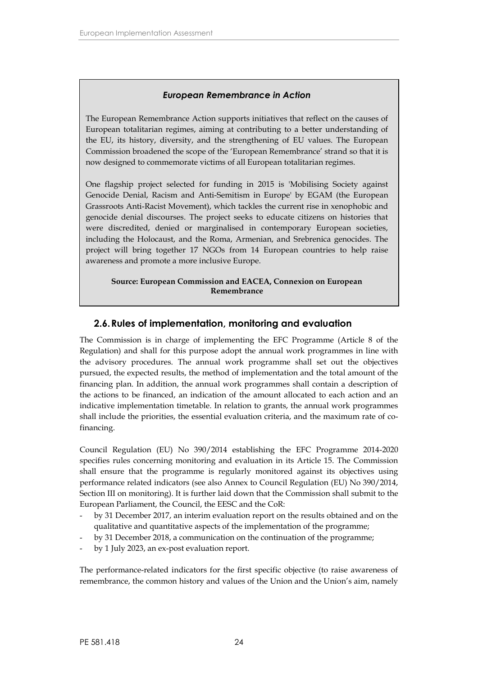### *European Remembrance in Action*

The European Remembrance Action supports initiatives that reflect on the causes of European totalitarian regimes, aiming at contributing to a better understanding of the EU, its history, diversity, and the strengthening of EU values. The European Commission broadened the scope of the 'European Remembrance' strand so that it is now designed to commemorate victims of all European totalitarian regimes.

One flagship project selected for funding in 2015 is 'Mobilising Society against Genocide Denial, Racism and Anti-Semitism in Europe' by EGAM (the European Grassroots Anti-Racist Movement), which tackles the current rise in xenophobic and genocide denial discourses. The project seeks to educate citizens on histories that were discredited, denied or marginalised in contemporary European societies, including the Holocaust, and the Roma, Armenian, and Srebrenica genocides. The project will bring together 17 NGOs from 14 European countries to help raise awareness and promote a more inclusive Europe.

**Source: European Commission and EACEA, Connexion on European Remembrance**

### <span id="page-25-0"></span>**2.6.Rules of implementation, monitoring and evaluation**

The Commission is in charge of implementing the EFC Programme (Article 8 of the Regulation) and shall for this purpose adopt the annual work programmes in line with the advisory procedures. The annual work programme shall set out the objectives pursued, the expected results, the method of implementation and the total amount of the financing plan. In addition, the annual work programmes shall contain a description of the actions to be financed, an indication of the amount allocated to each action and an indicative implementation timetable. In relation to grants, the annual work programmes shall include the priorities, the essential evaluation criteria, and the maximum rate of cofinancing.

Council Regulation (EU) No 390/2014 establishing the EFC Programme 2014-2020 specifies rules concerning monitoring and evaluation in its Article 15. The Commission shall ensure that the programme is regularly monitored against its objectives using performance related indicators (see also Annex to Council Regulation (EU) No 390/2014, Section III on monitoring). It is further laid down that the Commission shall submit to the European Parliament, the Council, the EESC and the CoR:

- by 31 December 2017, an interim evaluation report on the results obtained and on the qualitative and quantitative aspects of the implementation of the programme;
- by 31 December 2018, a communication on the continuation of the programme;
- by 1 July 2023, an ex-post evaluation report.

The performance-related indicators for the first specific objective (to raise awareness of remembrance, the common history and values of the Union and the Union's aim, namely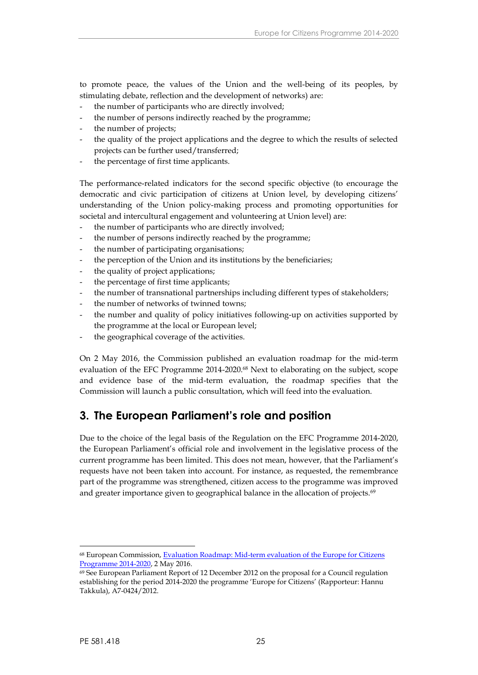to promote peace, the values of the Union and the well-being of its peoples, by stimulating debate, reflection and the development of networks) are:

- the number of participants who are directly involved;
- the number of persons indirectly reached by the programme;
- the number of projects;
- the quality of the project applications and the degree to which the results of selected projects can be further used/transferred;
- the percentage of first time applicants.

The performance-related indicators for the second specific objective (to encourage the democratic and civic participation of citizens at Union level, by developing citizens' understanding of the Union policy-making process and promoting opportunities for societal and intercultural engagement and volunteering at Union level) are:

- the number of participants who are directly involved;
- the number of persons indirectly reached by the programme;
- the number of participating organisations;
- the perception of the Union and its institutions by the beneficiaries;
- the quality of project applications;
- the percentage of first time applicants;
- the number of transnational partnerships including different types of stakeholders;
- the number of networks of twinned towns;
- the number and quality of policy initiatives following-up on activities supported by the programme at the local or European level;
- the geographical coverage of the activities.

On 2 May 2016, the Commission published an evaluation roadmap for the mid-term evaluation of the EFC Programme 2014-2020.<sup>68</sup> Next to elaborating on the subject, scope and evidence base of the mid-term evaluation, the roadmap specifies that the Commission will launch a public consultation, which will feed into the evaluation.

## <span id="page-26-0"></span>**3. The European Parliament's role and position**

Due to the choice of the legal basis of the Regulation on the EFC Programme 2014-2020, the European Parliament's official role and involvement in the legislative process of the current programme has been limited. This does not mean, however, that the Parliament's requests have not been taken into account. For instance, as requested, the remembrance part of the programme was strengthened, citizen access to the programme was improved and greater importance given to geographical balance in the allocation of projects.<sup>69</sup>

<sup>68</sup> European Commission, [Evaluation Roadmap: Mid-term evaluation of the Europe for Citizens](http://ec.europa.eu/smart-regulation/roadmaps/docs/2017_home_175_evaluation_europe_for_citizens_en.pdf) [Programme 2014-2020](http://ec.europa.eu/smart-regulation/roadmaps/docs/2017_home_175_evaluation_europe_for_citizens_en.pdf), 2 May 2016.

 $69$  See European Parliament Report of 12 December 2012 on the proposal for a Council regulation establishing for the period 2014-2020 the programme 'Europe for Citizens' (Rapporteur: Hannu Takkula), A7-0424/2012.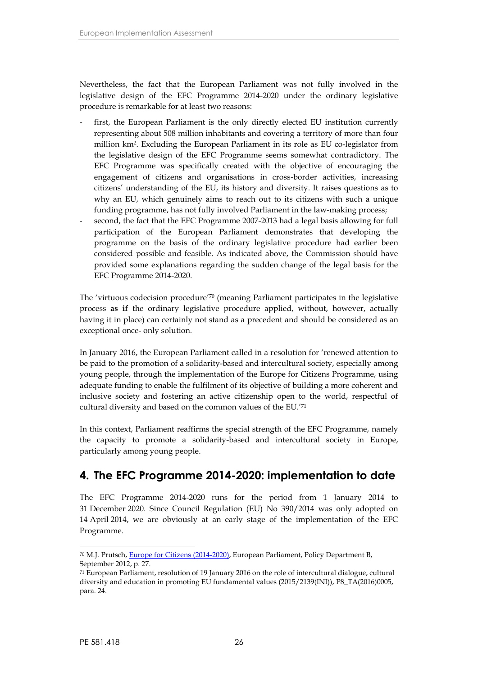Nevertheless, the fact that the European Parliament was not fully involved in the legislative design of the EFC Programme 2014-2020 under the ordinary legislative procedure is remarkable for at least two reasons:

- first, the European Parliament is the only directly elected EU institution currently representing about 508 million inhabitants and covering a territory of more than four million km<sup>2</sup> .Excluding the European Parliament in its role as EU co-legislator from the legislative design of the EFC Programme seems somewhat contradictory. The EFC Programme was specifically created with the objective of encouraging the engagement of citizens and organisations in cross-border activities, increasing citizens' understanding of the EU, its history and diversity. It raises questions as to why an EU, which genuinely aims to reach out to its citizens with such a unique funding programme, has not fully involved Parliament in the law-making process;
- second, the fact that the EFC Programme 2007-2013 had a legal basis allowing for full participation of the European Parliament demonstrates that developing the programme on the basis of the ordinary legislative procedure had earlier been considered possible and feasible. As indicated above, the Commission should have provided some explanations regarding the sudden change of the legal basis for the EFC Programme 2014-2020.

The 'virtuous codecision procedure'<sup>70</sup> (meaning Parliament participates in the legislative process **as if** the ordinary legislative procedure applied, without, however, actually having it in place) can certainly not stand as a precedent and should be considered as an exceptional once- only solution.

In January 2016, the European Parliament called in a resolution for 'renewed attention to be paid to the promotion of a solidarity-based and intercultural society, especially among young people, through the implementation of the Europe for Citizens Programme, using adequate funding to enable the fulfilment of its objective of building a more coherent and inclusive society and fostering an active citizenship open to the world, respectful of cultural diversity and based on the common values of the EU.'<sup>71</sup>

In this context, Parliament reaffirms the special strength of the EFC Programme, namely the capacity to promote a solidarity-based and intercultural society in Europe, particularly among young people.

## <span id="page-27-0"></span>**4. The EFC Programme 2014-2020: implementation to date**

The EFC Programme 2014-2020 runs for the period from 1 January 2014 to 31 December 2020. Since Council Regulation (EU) No 390/2014 was only adopted on 14 April 2014, we are obviously at an early stage of the implementation of the EFC Programme.

<sup>70</sup> M.J. Prutsch, [Europe for Citizens \(2014-2020\)](http://www.europarl.europa.eu/RegData/etudes/note/join/2012/495822/IPOL-CULT_NT(2012)495822_EN.pdf), European Parliament, Policy Department B, September 2012, p. 27.

<sup>71</sup> European Parliament, resolution of 19 January 2016 on the role of intercultural dialogue, cultural diversity and education in promoting EU fundamental values (2015/2139(INI)), P8\_TA(2016)0005, para. 24.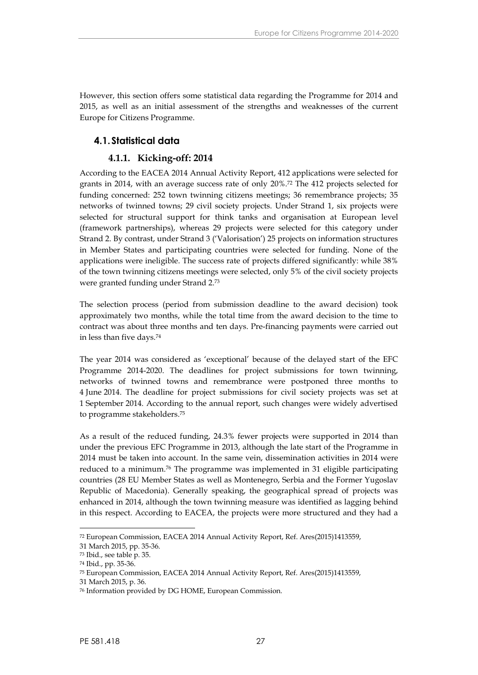However, this section offers some statistical data regarding the Programme for 2014 and 2015, as well as an initial assessment of the strengths and weaknesses of the current Europe for Citizens Programme.

### <span id="page-28-0"></span>**4.1.Statistical data**

### <span id="page-28-1"></span>**4.1.1. Kicking-off: 2014**

According to the EACEA 2014 Annual Activity Report, 412 applications were selected for grants in 2014, with an average success rate of only 20%.<sup>72</sup> The 412 projects selected for funding concerned: 252 town twinning citizens meetings; 36 remembrance projects; 35 networks of twinned towns; 29 civil society projects. Under Strand 1, six projects were selected for structural support for think tanks and organisation at European level (framework partnerships), whereas 29 projects were selected for this category under Strand 2. By contrast, under Strand 3 ('Valorisation') 25 projects on information structures in Member States and participating countries were selected for funding. None of the applications were ineligible. The success rate of projects differed significantly: while 38% of the town twinning citizens meetings were selected, only 5% of the civil society projects were granted funding under Strand 2.<sup>73</sup>

The selection process (period from submission deadline to the award decision) took approximately two months, while the total time from the award decision to the time to contract was about three months and ten days. Pre-financing payments were carried out in less than five days.<sup>74</sup>

The year 2014 was considered as 'exceptional' because of the delayed start of the EFC Programme 2014-2020. The deadlines for project submissions for town twinning, networks of twinned towns and remembrance were postponed three months to 4 June 2014. The deadline for project submissions for civil society projects was set at 1 September 2014. According to the annual report, such changes were widely advertised to programme stakeholders.<sup>75</sup>

As a result of the reduced funding, 24.3% fewer projects were supported in 2014 than under the previous EFC Programme in 2013, although the late start of the Programme in 2014 must be taken into account. In the same vein, dissemination activities in 2014 were reduced to a minimum.<sup>76</sup> The programme was implemented in 31 eligible participating countries (28 EU Member States as well as Montenegro, Serbia and the Former Yugoslav Republic of Macedonia). Generally speaking, the geographical spread of projects was enhanced in 2014, although the town twinning measure was identified as lagging behind in this respect. According to EACEA, the projects were more structured and they had a

<sup>72</sup> European Commission, EACEA 2014 Annual Activity Report, Ref. Ares(2015)1413559,

<sup>31</sup> March 2015, pp. 35-36.

<sup>73</sup> Ibid., see table p. 35.

<sup>74</sup> Ibid., pp. 35-36.

<sup>75</sup> European Commission, EACEA 2014 Annual Activity Report, Ref. Ares(2015)1413559,

<sup>31</sup> March 2015, p. 36.

<sup>76</sup> Information provided by DG HOME, European Commission.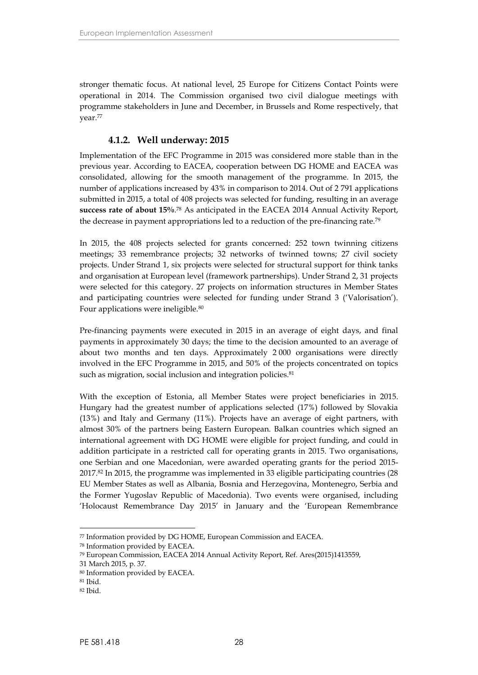stronger thematic focus. At national level, 25 Europe for Citizens Contact Points were operational in 2014. The Commission organised two civil dialogue meetings with programme stakeholders in June and December, in Brussels and Rome respectively, that year.<sup>77</sup>

### <span id="page-29-0"></span>**4.1.2. Well underway: 2015**

Implementation of the EFC Programme in 2015 was considered more stable than in the previous year. According to EACEA, cooperation between DG HOME and EACEA was consolidated, allowing for the smooth management of the programme. In 2015, the number of applications increased by 43% in comparison to 2014. Out of 2 791 applications submitted in 2015, a total of 408 projects was selected for funding, resulting in an average **success rate of about 15%**.<sup>78</sup> As anticipated in the EACEA 2014 Annual Activity Report, the decrease in payment appropriations led to a reduction of the pre-financing rate.<sup>79</sup>

In 2015, the 408 projects selected for grants concerned: 252 town twinning citizens meetings; 33 remembrance projects; 32 networks of twinned towns; 27 civil society projects. Under Strand 1, six projects were selected for structural support for think tanks and organisation at European level (framework partnerships). Under Strand 2, 31 projects were selected for this category. 27 projects on information structures in Member States and participating countries were selected for funding under Strand 3 ('Valorisation'). Four applications were ineligible.<sup>80</sup>

Pre-financing payments were executed in 2015 in an average of eight days, and final payments in approximately 30 days; the time to the decision amounted to an average of about two months and ten days. Approximately 2 000 organisations were directly involved in the EFC Programme in 2015, and 50% of the projects concentrated on topics such as migration, social inclusion and integration policies.<sup>81</sup>

With the exception of Estonia, all Member States were project beneficiaries in 2015. Hungary had the greatest number of applications selected (17%) followed by Slovakia (13%) and Italy and Germany (11%). Projects have an average of eight partners, with almost 30% of the partners being Eastern European. Balkan countries which signed an international agreement with DG HOME were eligible for project funding, and could in addition participate in a restricted call for operating grants in 2015. Two organisations, one Serbian and one Macedonian, were awarded operating grants for the period 2015- 2017.<sup>82</sup> In 2015, the programme was implemented in 33 eligible participating countries (28 EU Member States as well as Albania, Bosnia and Herzegovina, Montenegro, Serbia and the Former Yugoslav Republic of Macedonia). Two events were organised, including 'Holocaust Remembrance Day 2015' in January and the 'European Remembrance

<sup>77</sup> Information provided by DG HOME, European Commission and EACEA.

<sup>78</sup> Information provided by EACEA.

<sup>79</sup> European Commission, EACEA 2014 Annual Activity Report, Ref. Ares(2015)1413559,

<sup>31</sup> March 2015, p. 37.

<sup>80</sup> Information provided by EACEA.

<sup>81</sup> Ibid.

 $82$  Ibid.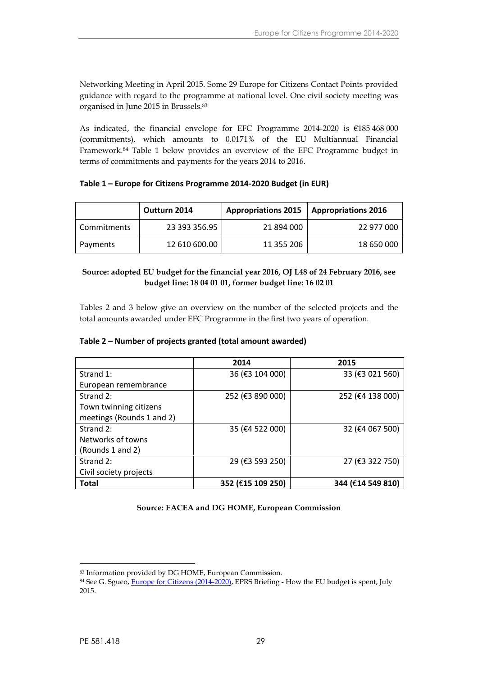Networking Meeting in April 2015. Some 29 Europe for Citizens Contact Points provided guidance with regard to the programme at national level. One civil society meeting was organised in June 2015 in Brussels.<sup>83</sup>

As indicated, the financial envelope for EFC Programme 2014-2020 is €185 468 000 (commitments), which amounts to 0.0171% of the EU Multiannual Financial Framework.<sup>84</sup> Table 1 below provides an overview of the EFC Programme budget in terms of commitments and payments for the years 2014 to 2016.

#### **Table 1 – Europe for Citizens Programme 2014-2020 Budget (in EUR)**

|             | Outturn 2014  | <b>Appropriations 2015</b> | <b>Appropriations 2016</b> |
|-------------|---------------|----------------------------|----------------------------|
| Commitments | 23 393 356.95 | 21 894 000                 | 22 977 000                 |
| Payments    | 12 610 600.00 | 11 355 206                 | 18 650 000                 |

### **Source: adopted EU budget for the financial year 2016, OJ L48 of 24 February 2016, see budget line: 18 04 01 01, former budget line: 16 02 01**

Tables 2 and 3 below give an overview on the number of the selected projects and the total amounts awarded under EFC Programme in the first two years of operation.

#### **Table 2 – Number of projects granted (total amount awarded)**

|                           | 2014              | 2015              |
|---------------------------|-------------------|-------------------|
| Strand 1:                 | 36 (€3 104 000)   | 33 (€3 021 560)   |
| European remembrance      |                   |                   |
| Strand 2:                 | 252 (€3 890 000)  | 252 (€4 138 000)  |
| Town twinning citizens    |                   |                   |
| meetings (Rounds 1 and 2) |                   |                   |
| Strand 2:                 | 35 (€4 522 000)   | 32 (€4 067 500)   |
| Networks of towns         |                   |                   |
| (Rounds 1 and 2)          |                   |                   |
| Strand 2:                 | 29 (€3 593 250)   | 27 (€3 322 750)   |
| Civil society projects    |                   |                   |
| <b>Total</b>              | 352 (€15 109 250) | 344 (€14 549 810) |

#### **Source: EACEA and DG HOME, European Commission**

<sup>83</sup> Information provided by DG HOME, European Commission.

<sup>84</sup> See G. Sgueo, *[Europe for Citizens \(2014-2020\)](http://www.europarl.europa.eu/RegData/etudes/BRIE/2015/564392/EPRS_BRI(2015)564392_EN.pdf)*, *EPRS Briefing - How the EU budget is spent*, July 2015.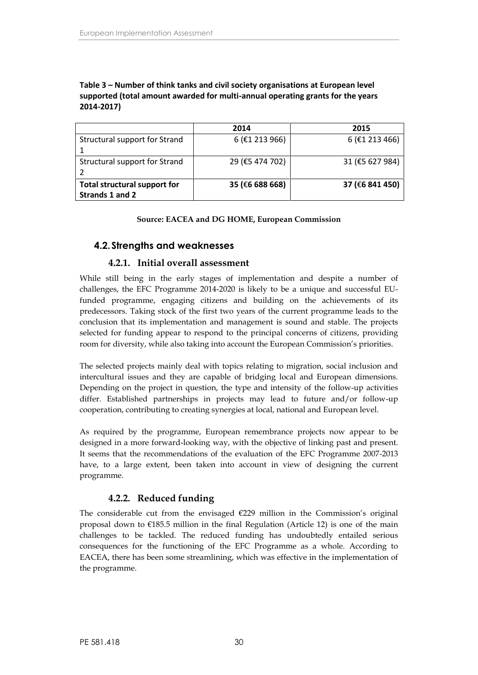#### **Table 3 – Number of think tanks and civil society organisations at European level supported (total amount awarded for multi-annual operating grants for the years 2014-2017)**

|                                                 | 2014                        | 2015             |
|-------------------------------------------------|-----------------------------|------------------|
| Structural support for Strand                   | $6$ ( $\epsilon$ 1 213 966) | $6$ (£1 213 466) |
| Structural support for Strand                   | 29 (€5 474 702)             | 31 (€5 627 984)  |
| Total structural support for<br>Strands 1 and 2 | 35 (€6 688 668)             | 37 (€6 841 450)  |

#### **Source: EACEA and DG HOME, European Commission**

### <span id="page-31-0"></span>**4.2.Strengths and weaknesses**

### <span id="page-31-1"></span>**4.2.1. Initial overall assessment**

While still being in the early stages of implementation and despite a number of challenges, the EFC Programme 2014-2020 is likely to be a unique and successful EUfunded programme, engaging citizens and building on the achievements of its predecessors. Taking stock of the first two years of the current programme leads to the conclusion that its implementation and management is sound and stable. The projects selected for funding appear to respond to the principal concerns of citizens, providing room for diversity, while also taking into account the European Commission's priorities.

The selected projects mainly deal with topics relating to migration, social inclusion and intercultural issues and they are capable of bridging local and European dimensions. Depending on the project in question, the type and intensity of the follow-up activities differ. Established partnerships in projects may lead to future and/or follow-up cooperation, contributing to creating synergies at local, national and European level.

As required by the programme, European remembrance projects now appear to be designed in a more forward-looking way, with the objective of linking past and present. It seems that the recommendations of the evaluation of the EFC Programme 2007-2013 have, to a large extent, been taken into account in view of designing the current programme.

### <span id="page-31-2"></span>**4.2.2. Reduced funding**

The considerable cut from the envisaged  $E229$  million in the Commission's original proposal down to  $E185.5$  million in the final Regulation (Article 12) is one of the main challenges to be tackled. The reduced funding has undoubtedly entailed serious consequences for the functioning of the EFC Programme as a whole. According to EACEA, there has been some streamlining, which was effective in the implementation of the programme.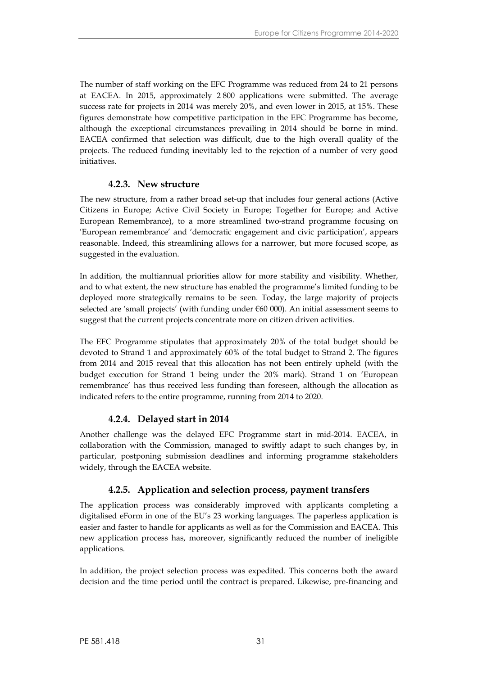The number of staff working on the EFC Programme was reduced from 24 to 21 persons at EACEA. In 2015, approximately 2 800 applications were submitted. The average success rate for projects in 2014 was merely 20%, and even lower in 2015, at 15%. These figures demonstrate how competitive participation in the EFC Programme has become, although the exceptional circumstances prevailing in 2014 should be borne in mind. EACEA confirmed that selection was difficult, due to the high overall quality of the projects. The reduced funding inevitably led to the rejection of a number of very good initiatives.

### <span id="page-32-0"></span>**4.2.3. New structure**

The new structure, from a rather broad set-up that includes four general actions (Active Citizens in Europe; Active Civil Society in Europe; Together for Europe; and Active European Remembrance), to a more streamlined two-strand programme focusing on 'European remembrance' and 'democratic engagement and civic participation', appears reasonable. Indeed, this streamlining allows for a narrower, but more focused scope, as suggested in the evaluation.

In addition, the multiannual priorities allow for more stability and visibility. Whether, and to what extent, the new structure has enabled the programme's limited funding to be deployed more strategically remains to be seen. Today, the large majority of projects selected are 'small projects' (with funding under  $\epsilon$ 60 000). An initial assessment seems to suggest that the current projects concentrate more on citizen driven activities.

The EFC Programme stipulates that approximately 20% of the total budget should be devoted to Strand 1 and approximately 60% of the total budget to Strand 2. The figures from 2014 and 2015 reveal that this allocation has not been entirely upheld (with the budget execution for Strand 1 being under the 20% mark). Strand 1 on 'European remembrance' has thus received less funding than foreseen, although the allocation as indicated refers to the entire programme, running from 2014 to 2020.

### <span id="page-32-1"></span>**4.2.4. Delayed start in 2014**

Another challenge was the delayed EFC Programme start in mid-2014. EACEA, in collaboration with the Commission, managed to swiftly adapt to such changes by, in particular, postponing submission deadlines and informing programme stakeholders widely, through the EACEA website.

### <span id="page-32-2"></span>**4.2.5. Application and selection process, payment transfers**

The application process was considerably improved with applicants completing a digitalised eForm in one of the EU's 23 working languages. The paperless application is easier and faster to handle for applicants as well as for the Commission and EACEA. This new application process has, moreover, significantly reduced the number of ineligible applications.

In addition, the project selection process was expedited. This concerns both the award decision and the time period until the contract is prepared. Likewise, pre-financing and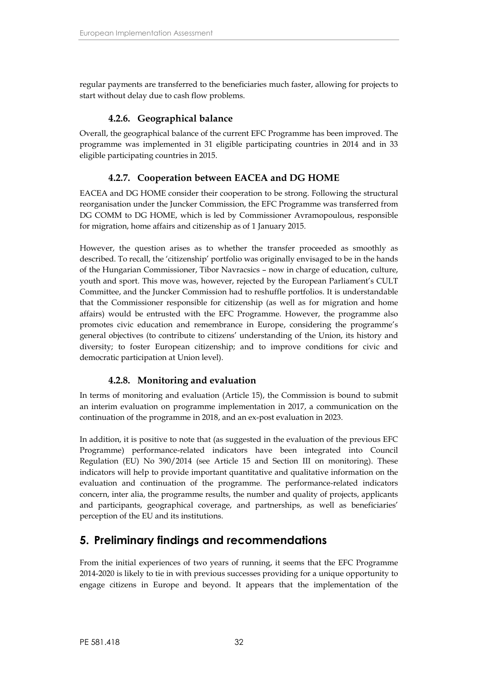regular payments are transferred to the beneficiaries much faster, allowing for projects to start without delay due to cash flow problems.

### <span id="page-33-0"></span>**4.2.6. Geographical balance**

Overall, the geographical balance of the current EFC Programme has been improved. The programme was implemented in 31 eligible participating countries in 2014 and in 33 eligible participating countries in 2015.

### <span id="page-33-1"></span>**4.2.7. Cooperation between EACEA and DG HOME**

EACEA and DG HOME consider their cooperation to be strong. Following the structural reorganisation under the Juncker Commission, the EFC Programme was transferred from DG COMM to DG HOME, which is led by Commissioner Avramopoulous, responsible for migration, home affairs and citizenship as of 1 January 2015.

However, the question arises as to whether the transfer proceeded as smoothly as described. To recall, the 'citizenship' portfolio was originally envisaged to be in the hands of the Hungarian Commissioner, Tibor Navracsics – now in charge of education, culture, youth and sport. This move was, however, rejected by the European Parliament's CULT Committee, and the Juncker Commission had to reshuffle portfolios. It is understandable that the Commissioner responsible for citizenship (as well as for migration and home affairs) would be entrusted with the EFC Programme. However, the programme also promotes civic education and remembrance in Europe, considering the programme's general objectives (to contribute to citizens' understanding of the Union, its history and diversity; to foster European citizenship; and to improve conditions for civic and democratic participation at Union level).

### <span id="page-33-2"></span>**4.2.8. Monitoring and evaluation**

In terms of monitoring and evaluation (Article 15), the Commission is bound to submit an interim evaluation on programme implementation in 2017, a communication on the continuation of the programme in 2018, and an ex-post evaluation in 2023.

In addition, it is positive to note that (as suggested in the evaluation of the previous EFC Programme) performance-related indicators have been integrated into Council Regulation (EU) No 390/2014 (see Article 15 and Section III on monitoring). These indicators will help to provide important quantitative and qualitative information on the evaluation and continuation of the programme. The performance-related indicators concern, inter alia, the programme results, the number and quality of projects, applicants and participants, geographical coverage, and partnerships, as well as beneficiaries' perception of the EU and its institutions.

## <span id="page-33-3"></span>**5. Preliminary findings and recommendations**

From the initial experiences of two years of running, it seems that the EFC Programme 2014-2020 is likely to tie in with previous successes providing for a unique opportunity to engage citizens in Europe and beyond. It appears that the implementation of the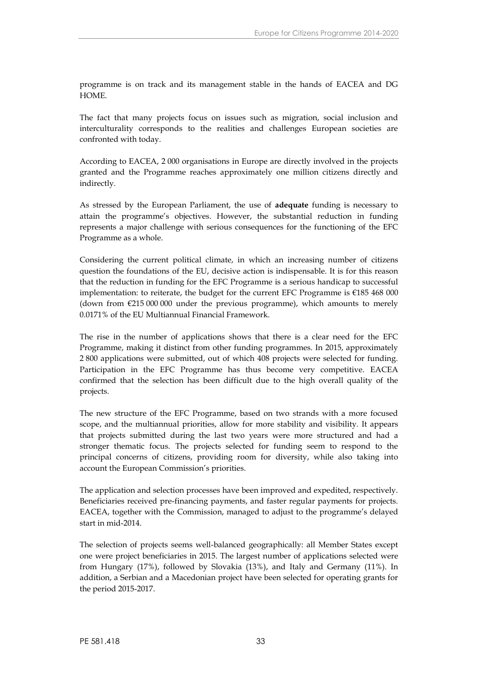programme is on track and its management stable in the hands of EACEA and DG HOME.

The fact that many projects focus on issues such as migration, social inclusion and interculturality corresponds to the realities and challenges European societies are confronted with today.

According to EACEA, 2 000 organisations in Europe are directly involved in the projects granted and the Programme reaches approximately one million citizens directly and indirectly.

As stressed by the European Parliament, the use of **adequate** funding is necessary to attain the programme's objectives. However, the substantial reduction in funding represents a major challenge with serious consequences for the functioning of the EFC Programme as a whole.

Considering the current political climate, in which an increasing number of citizens question the foundations of the EU, decisive action is indispensable. It is for this reason that the reduction in funding for the EFC Programme is a serious handicap to successful implementation: to reiterate, the budget for the current EFC Programme is €185 468 000 (down from  $\epsilon$ 215 000 000 under the previous programme), which amounts to merely 0.0171% of the EU Multiannual Financial Framework.

The rise in the number of applications shows that there is a clear need for the EFC Programme, making it distinct from other funding programmes. In 2015, approximately 2 800 applications were submitted, out of which 408 projects were selected for funding. Participation in the EFC Programme has thus become very competitive. EACEA confirmed that the selection has been difficult due to the high overall quality of the projects.

The new structure of the EFC Programme, based on two strands with a more focused scope, and the multiannual priorities, allow for more stability and visibility. It appears that projects submitted during the last two years were more structured and had a stronger thematic focus. The projects selected for funding seem to respond to the principal concerns of citizens, providing room for diversity, while also taking into account the European Commission's priorities.

The application and selection processes have been improved and expedited, respectively. Beneficiaries received pre-financing payments, and faster regular payments for projects. EACEA, together with the Commission, managed to adjust to the programme's delayed start in mid-2014.

The selection of projects seems well-balanced geographically: all Member States except one were project beneficiaries in 2015. The largest number of applications selected were from Hungary (17%), followed by Slovakia (13%), and Italy and Germany (11%). In addition, a Serbian and a Macedonian project have been selected for operating grants for the period 2015-2017.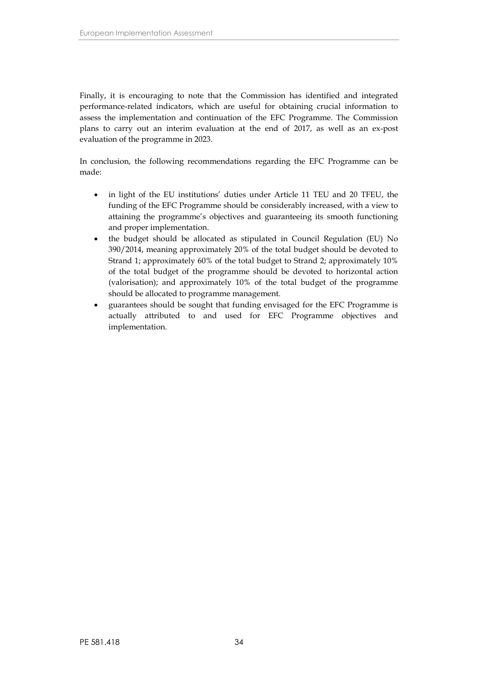Finally, it is encouraging to note that the Commission has identified and integrated performance-related indicators, which are useful for obtaining crucial information to assess the implementation and continuation of the EFC Programme. The Commission plans to carry out an interim evaluation at the end of 2017, as well as an ex-post evaluation of the programme in 2023.

In conclusion, the following recommendations regarding the EFC Programme can be made:

- in light of the EU institutions' duties under Article 11 TEU and 20 TFEU, the funding of the EFC Programme should be considerably increased, with a view to attaining the programme's objectives and guaranteeing its smooth functioning and proper implementation.
- the budget should be allocated as stipulated in Council Regulation (EU) No 390/2014, meaning approximately 20% of the total budget should be devoted to Strand 1; approximately 60% of the total budget to Strand 2; approximately 10% of the total budget of the programme should be devoted to horizontal action (valorisation); and approximately 10% of the total budget of the programme should be allocated to programme management.
- guarantees should be sought that funding envisaged for the EFC Programme is actually attributed to and used for EFC Programme objectives and implementation.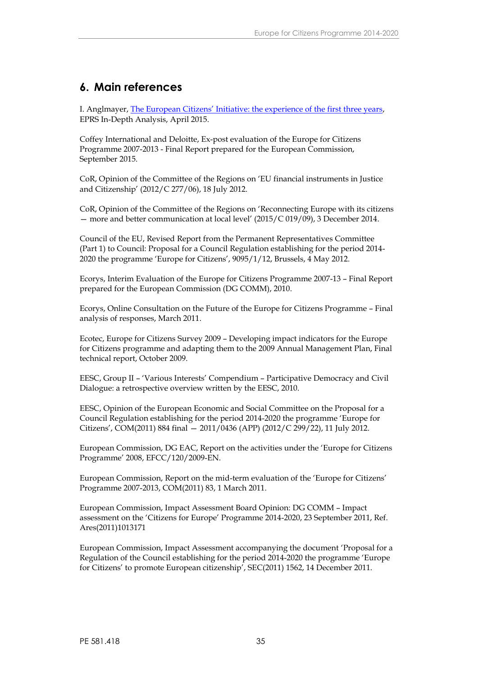## <span id="page-36-0"></span>**6. Main references**

I. Anglmayer, [The European Citizens' Initiative: the experience of the first three years](http://www.europarl.europa.eu/RegData/etudes/IDAN/2015/536343/EPRS_IDA(2015)536343_EN.pdf), EPRS In-Depth Analysis, April 2015.

Coffey International and Deloitte, Ex-post evaluation of the Europe for Citizens Programme 2007-2013 - Final Report prepared for the European Commission, September 2015.

CoR, Opinion of the Committee of the Regions on 'EU financial instruments in Justice and Citizenship' (2012/C 277/06), 18 July 2012.

CoR, Opinion of the Committee of the Regions on 'Reconnecting Europe with its citizens — more and better communication at local level' (2015/C 019/09), 3 December 2014.

Council of the EU, Revised Report from the Permanent Representatives Committee (Part 1) to Council: Proposal for a Council Regulation establishing for the period 2014- 2020 the programme 'Europe for Citizens', 9095/1/12, Brussels, 4 May 2012.

Ecorys, Interim Evaluation of the Europe for Citizens Programme 2007-13 – Final Report prepared for the European Commission (DG COMM), 2010.

Ecorys, Online Consultation on the Future of the Europe for Citizens Programme – Final analysis of responses, March 2011.

Ecotec, Europe for Citizens Survey 2009 – Developing impact indicators for the Europe for Citizens programme and adapting them to the 2009 Annual Management Plan, Final technical report, October 2009.

EESC, Group II – 'Various Interests' Compendium – Participative Democracy and Civil Dialogue: a retrospective overview written by the EESC, 2010.

EESC, Opinion of the European Economic and Social Committee on the Proposal for a Council Regulation establishing for the period 2014-2020 the programme 'Europe for Citizens', COM(2011) 884 final — 2011/0436 (APP) (2012/C 299/22), 11 July 2012.

European Commission, DG EAC, Report on the activities under the 'Europe for Citizens Programme' 2008, EFCC/120/2009-EN.

European Commission, Report on the mid-term evaluation of the 'Europe for Citizens' Programme 2007-2013, COM(2011) 83, 1 March 2011.

European Commission, Impact Assessment Board Opinion: DG COMM – Impact assessment on the 'Citizens for Europe' Programme 2014-2020, 23 September 2011, Ref. Ares(2011)1013171

European Commission, Impact Assessment accompanying the document 'Proposal for a Regulation of the Council establishing for the period 2014-2020 the programme 'Europe for Citizens' to promote European citizenship', SEC(2011) 1562, 14 December 2011.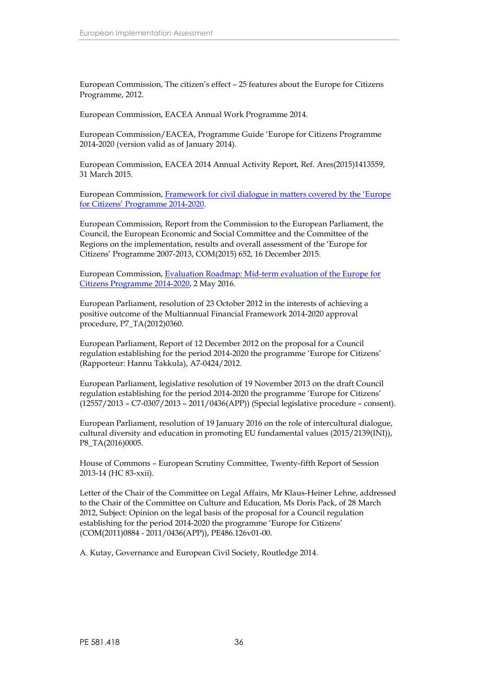European Commission, The citizen's effect – 25 features about the Europe for Citizens Programme, 2012.

European Commission, EACEA Annual Work Programme 2014.

European Commission/EACEA, Programme Guide 'Europe for Citizens Programme 2014-2020 (version valid as of January 2014).

European Commission, EACEA 2014 Annual Activity Report, Ref. Ares(2015)1413559, 31 March 2015.

European Commission, [Framework for civil dialogue in matters covered by the](http://ec.europa.eu/citizenship/pdf/framework_for_civil_dialogue_efc_2014_2020final.pdf) 'Europe for Citizens' [Programme 2014-2020](http://ec.europa.eu/citizenship/pdf/framework_for_civil_dialogue_efc_2014_2020final.pdf).

European Commission, Report from the Commission to the European Parliament, the Council, the European Economic and Social Committee and the Committee of the Regions on the implementation, results and overall assessment of the 'Europe for Citizens' Programme 2007-2013, COM(2015) 652, 16 December 2015.

European Commission, [Evaluation Roadmap: Mid-term evaluation of the Europe](http://ec.europa.eu/smart-regulation/roadmaps/docs/2017_home_175_evaluation_europe_for_citizens_en.pdf) for [Citizens Programme 2014-2020](http://ec.europa.eu/smart-regulation/roadmaps/docs/2017_home_175_evaluation_europe_for_citizens_en.pdf), 2 May 2016.

European Parliament, resolution of 23 October 2012 in the interests of achieving a positive outcome of the Multiannual Financial Framework 2014-2020 approval procedure, P7\_TA(2012)0360.

European Parliament, Report of 12 December 2012 on the proposal for a Council regulation establishing for the period 2014-2020 the programme 'Europe for Citizens' (Rapporteur: Hannu Takkula), A7-0424/2012.

European Parliament, legislative resolution of 19 November 2013 on the draft Council regulation establishing for the period 2014-2020 the programme 'Europe for Citizens' (12557/2013 – C7-0307/2013 – 2011/0436(APP)) (Special legislative procedure – consent).

European Parliament, resolution of 19 January 2016 on the role of intercultural dialogue, cultural diversity and education in promoting EU fundamental values (2015/2139(INI)), P8\_TA(2016)0005.

House of Commons – European Scrutiny Committee, Twenty-fifth Report of Session 2013-14 (HC 83-xxii).

Letter of the Chair of the Committee on Legal Affairs, Mr Klaus-Heiner Lehne, addressed to the Chair of the Committee on Culture and Education, Ms Doris Pack, of 28 March 2012, Subject: Opinion on the legal basis of the proposal for a Council regulation establishing for the period 2014-2020 the programme 'Europe for Citizens' (COM(2011)0884 - 2011/0436(APP)), PE486.126v01-00.

A. Kutay, Governance and European Civil Society, Routledge 2014.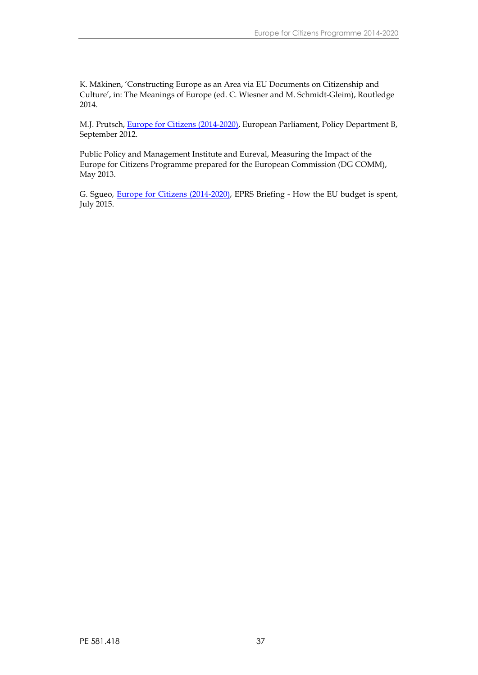K. Mäkinen, 'Constructing Europe as an Area via EU Documents on Citizenship and Culture', in: The Meanings of Europe (ed. C. Wiesner and M. Schmidt-Gleim), Routledge 2014.

M.J. Prutsch, [Europe for Citizens \(2014-2020\)](http://www.europarl.europa.eu/RegData/etudes/note/join/2012/495822/IPOL-CULT_NT(2012)495822_EN.pdf), European Parliament, Policy Department B, September 2012.

Public Policy and Management Institute and Eureval, Measuring the Impact of the Europe for Citizens Programme prepared for the European Commission (DG COMM), May 2013.

G. Sgueo, [Europe for Citizens \(2014-2020\)](http://www.europarl.europa.eu/RegData/etudes/BRIE/2015/564392/EPRS_BRI(2015)564392_EN.pdf), EPRS Briefing - How the EU budget is spent, July 2015.